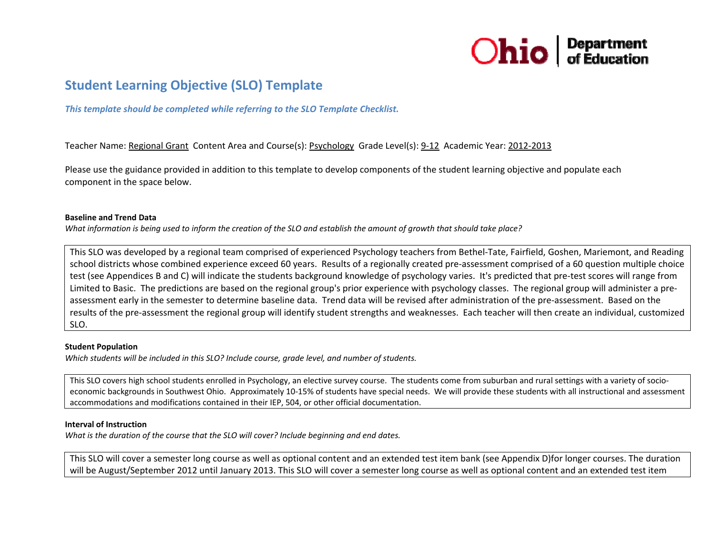

# **Student Learning Objective (SLO) Template**

*This template should be completed while referring to the SLO Template Checklist.*

Teacher Name: Regional Grant Content Area and Course(s): Psychology Grade Level(s): 9-12 Academic Year: 2012-2013

Please use the guidance provided in addition to this template to develop components of the student learning objective and populate each component in the space below.

#### **Baseline and Trend Data**

What information is being used to inform the creation of the SLO and establish the amount of growth that should take place?

This SLO was developed by <sup>a</sup> regional team comprised of experienced Psychology teachers from Bethel‐Tate, Fairfield, Goshen, Mariemont, and Reading school districts whose combined experience exceed 60 years. Results of <sup>a</sup> regionally created pre‐assessment comprised of <sup>a</sup> 60 question multiple choice test (see Appendices B and C) will indicate the students background knowledge of psychology varies. It's predicted that pre‐test scores will range from Limited to Basic. The predictions are based on the regional group's prior experience with psychology classes. The regional group will administer <sup>a</sup> pre‐ assessment early in the semester to determine baseline data. Trend data will be revised after administration of the pre‐assessment. Based on the results of the pre‐assessment the regional group will identify student strengths and weaknesses. Each teacher will then create an individual, customized SLO.

#### **Student Population**

*Which students will be included in this SLO? Include course, grade level, and number of students.*

This SLO covers high school students enrolled in Psychology, an elective survey course. The students come from suburban and rural settings with a variety of socioeconomic backgrounds in Southwest Ohio. Approximately 10‐15% of students have special needs. We will provide these students with all instructional and assessment accommodations and modifications contained in their IEP, 504, or other official documentation.

#### **Interval of Instruction**

*What is the duration of the course that the SLO will cover? Include beginning and end dates.*

This SLO will cover <sup>a</sup> semester long course as well as optional content and an extended test item bank (see Appendix D)for longer courses. The duration will be August/September 2012 until January 2013. This SLO will cover <sup>a</sup> semester long course as well as optional content and an extended test item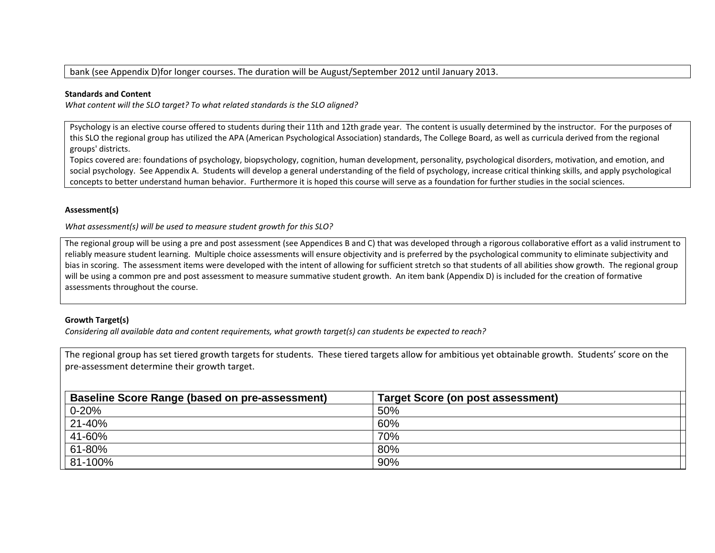#### bank (see Appendix D)for longer courses. The duration will be August/September 2012 until January 2013.

#### **Standards and Content**

*What content will the SLO target? To what related standards is the SLO aligned?*

Psychology is an elective course offered to students during their 11th and 12th grade year. The content is usually determined by the instructor. For the purposes of this SLO the regional group has utilized the APA (American Psychological Association) standards, The College Board, as well as curricula derived from the regional groups' districts.

Topics covered are: foundations of psychology, biopsychology, cognition, human development, personality, psychological disorders, motivation, and emotion, and social psychology. See Appendix A. Students will develop <sup>a</sup> general understanding of the field of psychology, increase critical thinking skills, and apply psychological concepts to better understand human behavior. Furthermore it is hoped this course will serve as <sup>a</sup> foundation for further studies in the social sciences.

#### **Assessment(s)**

*What assessment(s) will be used to measure student growth for this SLO?*

The regional group will be using <sup>a</sup> pre and post assessment (see Appendices B and C) that was developed through <sup>a</sup> rigorous collaborative effort as <sup>a</sup> valid instrument to reliably measure student learning. Multiple choice assessments will ensure objectivity and is preferred by the psychological community to eliminate subjectivity and bias in scoring. The assessment items were developed with the intent of allowing for sufficient stretch so that students of all abilities show growth. The regional group will be using <sup>a</sup> common pre and post assessment to measure summative student growth. An item bank (Appendix D) is included for the creation of formative assessments throughout the course.

#### **Growth Target(s)**

Considering all available data and content requirements, what growth target(s) can students be expected to reach?

The regional group has set tiered growth targets for students. These tiered targets allow for ambitious yet obtainable growth. Students' score on the pre‐assessment determine their growth target.

| <b>Baseline Score Range (based on pre-assessment)</b> | <b>Target Score (on post assessment)</b> |  |
|-------------------------------------------------------|------------------------------------------|--|
| $0 - 20%$                                             | 50%                                      |  |
| 21-40%                                                | 60%                                      |  |
| 41-60%                                                | 70%                                      |  |
| 61-80%                                                | 80%                                      |  |
| 81-100%                                               | 90%                                      |  |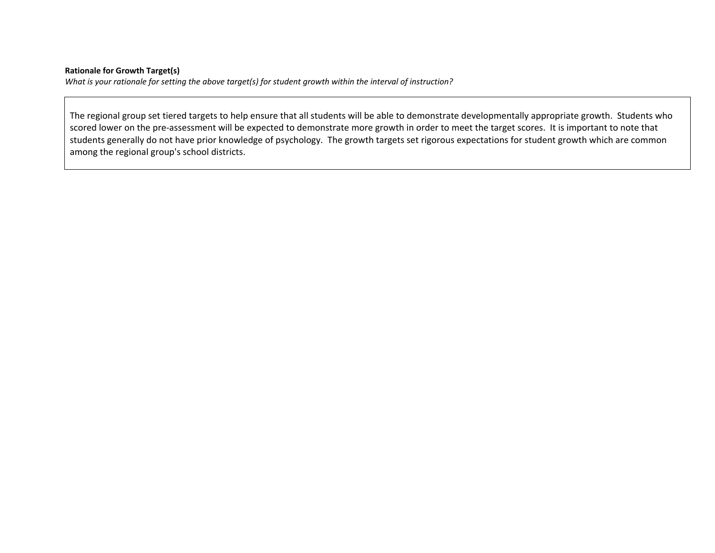#### **Rationale for Growth Target(s)**

What is your rationale for setting the above target(s) for student growth within the interval of instruction?

The regional group set tiered targets to help ensure that all students will be able to demonstrate developmentally appropriate growth. Students who scored lower on the pre‐assessment will be expected to demonstrate more growth in order to meet the target scores. It is important to note that students generally do not have prior knowledge of psychology. The growth targets set rigorous expectations for student growth which are common among the regional group's school districts.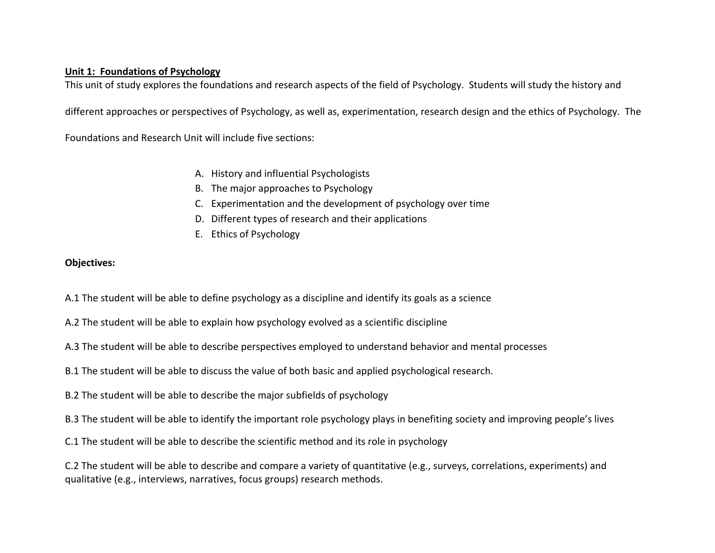# **Unit 1: Foundations of Psychology**

This unit of study explores the foundations and research aspects of the field of Psychology. Students will study the history and

different approaches or perspectives of Psychology, as well as, experimentation, research design and the ethics of Psychology. The

Foundations and Research Unit will include five sections:

- A. History and influential Psychologists
- B. The major approaches to Psychology
- C. Experimentation and the development of psychology over time
- D. Different types of research and their applications
- E. Ethics of Psychology

# **Objectives:**

A.1 The student will be able to define psychology as <sup>a</sup> discipline and identify its goals as <sup>a</sup> science

A.2 The student will be able to explain how psychology evolved as <sup>a</sup> scientific discipline

A.3 The student will be able to describe perspectives employed to understand behavior and mental processes

B.1 The student will be able to discuss the value of both basic and applied psychological research.

B.2 The student will be able to describe the major subfields of psychology

B.3 The student will be able to identify the important role psychology plays in benefiting society and improving people's lives

C.1 The student will be able to describe the scientific method and its role in psychology

C.2 The student will be able to describe and compare <sup>a</sup> variety of quantitative (e.g., surveys, correlations, experiments) and qualitative (e.g., interviews, narratives, focus groups) research methods.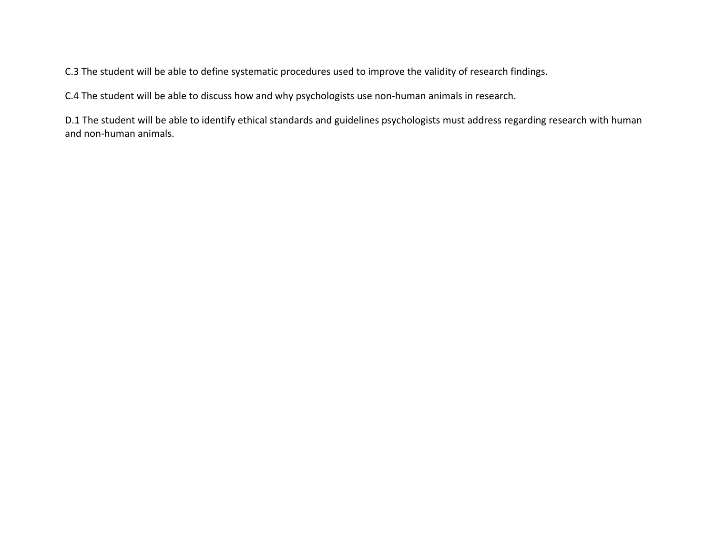C.3 The student will be able to define systematic procedures used to improve the validity of research findings.

C.4 The student will be able to discuss how and why psychologists use non‐human animals in research.

D.1 The student will be able to identify ethical standards and guidelines psychologists must address regarding research with human and non‐human animals.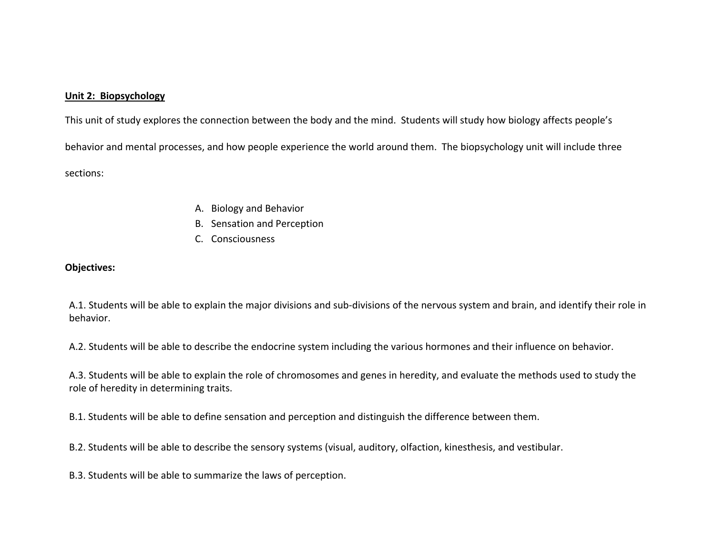#### **Unit 2: Biopsychology**

This unit of study explores the connection between the body and the mind. Students will study how biology affects people's behavior and mental processes, and how people experience the world around them. The biopsychology unit will include three sections:

- A. Biology and Behavior
- B. Sensation and Perception
- C. Consciousness

### **Objectives:**

A.1. Students will be able to explain the major divisions and sub‐divisions of the nervous system and brain, and identify their role in behavior.

A.2. Students will be able to describe the endocrine system including the various hormones and their influence on behavior.

A.3. Students will be able to explain the role of chromosomes and genes in heredity, and evaluate the methods used to study the role of heredity in determining traits.

B.1. Students will be able to define sensation and perception and distinguish the difference between them.

B.2. Students will be able to describe the sensory systems (visual, auditory, olfaction, kinesthesis, and vestibular.

B.3. Students will be able to summarize the laws of perception.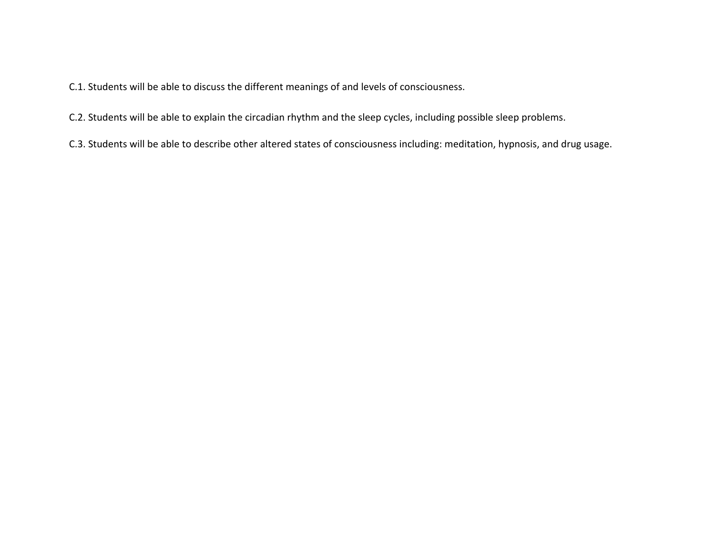C.1. Students will be able to discuss the different meanings of and levels of consciousness.

- C.2. Students will be able to explain the circadian rhythm and the sleep cycles, including possible sleep problems.
- C.3. Students will be able to describe other altered states of consciousness including: meditation, hypnosis, and drug usage.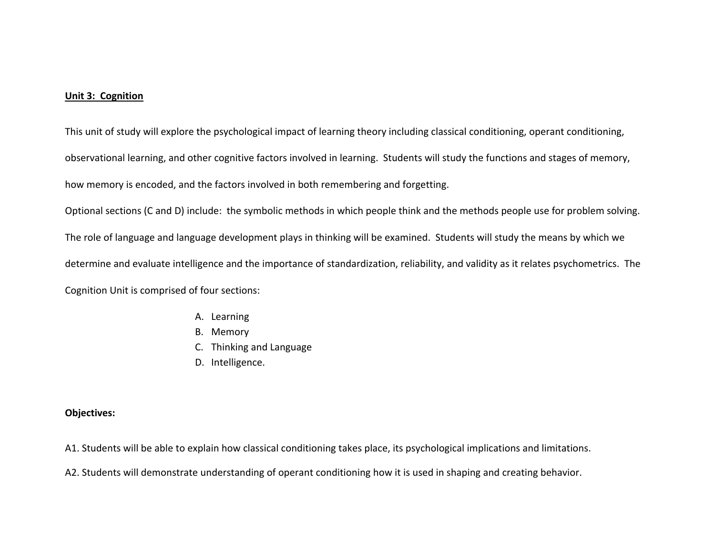#### **Unit 3: Cognition**

This unit of study will explore the psychological impact of learning theory including classical conditioning, operant conditioning, observational learning, and other cognitive factors involved in learning. Students will study the functions and stages of memory, how memory is encoded, and the factors involved in both remembering and forgetting.

Optional sections (C and D) include: the symbolic methods in which people think and the methods people use for problem solving. The role of language and language development plays in thinking will be examined. Students will study the means by which we determine and evaluate intelligence and the importance of standardization, reliability, and validity as it relates psychometrics. The Cognition Unit is comprised of four sections:

- A. Learning
- B. Memory
- C. Thinking and Language
- D. Intelligence.

- A1. Students will be able to explain how classical conditioning takes place, its psychological implications and limitations.
- A2. Students will demonstrate understanding of operant conditioning how it is used in shaping and creating behavior.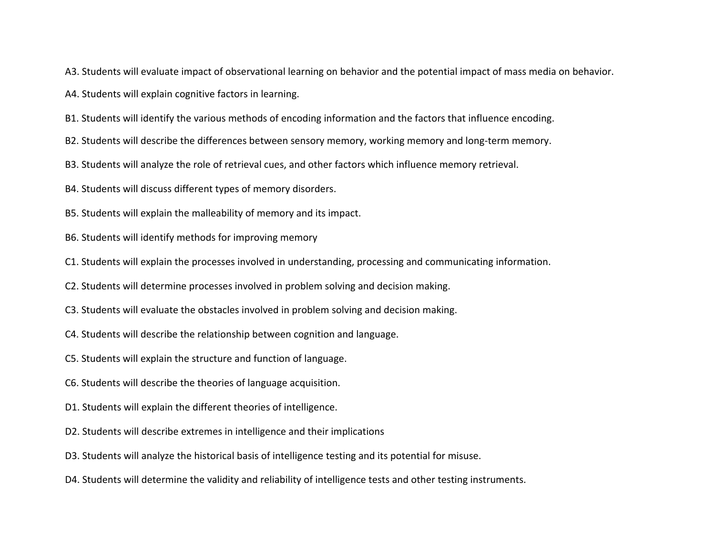A3. Students will evaluate impact of observational learning on behavior and the potential impact of mass media on behavior.

A4. Students will explain cognitive factors in learning.

B1. Students will identify the various methods of encoding information and the factors that influence encoding.

B2. Students will describe the differences between sensory memory, working memory and long‐term memory.

B3. Students will analyze the role of retrieval cues, and other factors which influence memory retrieval.

B4. Students will discuss different types of memory disorders.

B5. Students will explain the malleability of memory and its impact.

- B6. Students will identify methods for improving memory
- C1. Students will explain the processes involved in understanding, processing and communicating information.
- C2. Students will determine processes involved in problem solving and decision making.
- C3. Students will evaluate the obstacles involved in problem solving and decision making.
- C4. Students will describe the relationship between cognition and language.
- C5. Students will explain the structure and function of language.
- C6. Students will describe the theories of language acquisition.
- D1. Students will explain the different theories of intelligence.
- D2. Students will describe extremes in intelligence and their implications
- D3. Students will analyze the historical basis of intelligence testing and its potential for misuse.
- D4. Students will determine the validity and reliability of intelligence tests and other testing instruments.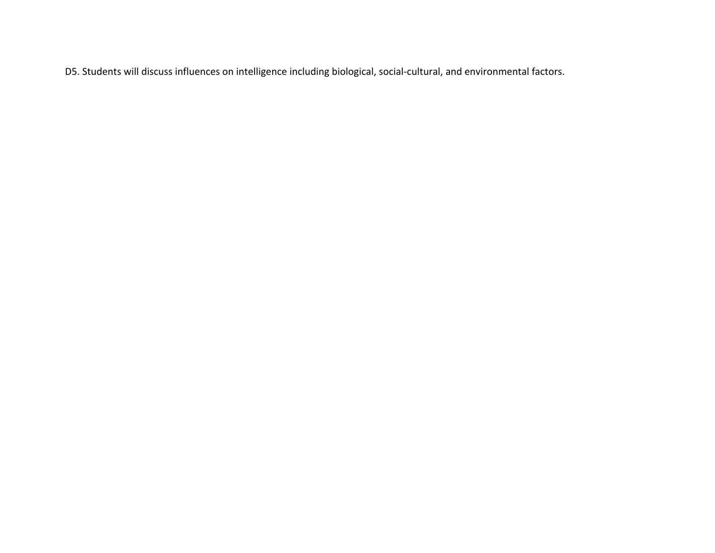D5. Students will discuss influences on intelligence including biological, social‐cultural, and environmental factors.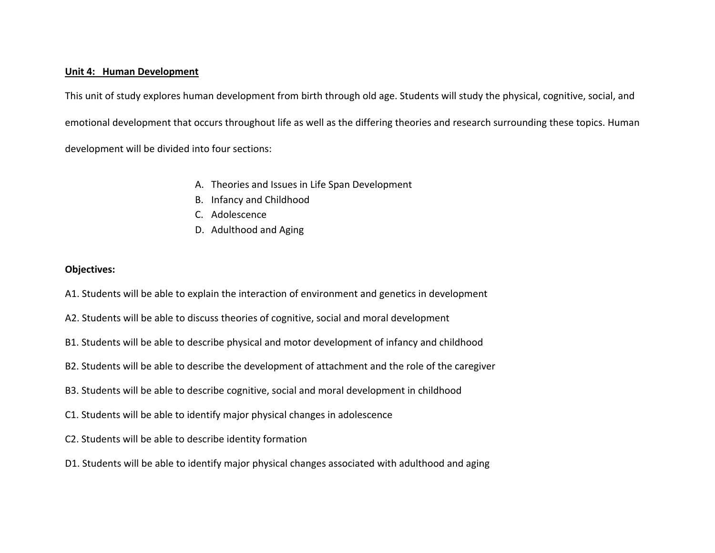#### **Unit 4: Human Development**

This unit of study explores human development from birth through old age. Students will study the physical, cognitive, social, and emotional development that occurs throughout life as well as the differing theories and research surrounding these topics. Human development will be divided into four sections:

- A. Theories and Issues in Life Span Development
- B. Infancy and Childhood
- C. Adolescence
- D. Adulthood and Aging

- A1. Students will be able to explain the interaction of environment and genetics in development
- A2. Students will be able to discuss theories of cognitive, social and moral development
- B1. Students will be able to describe physical and motor development of infancy and childhood
- B2. Students will be able to describe the development of attachment and the role of the caregiver
- B3. Students will be able to describe cognitive, social and moral development in childhood
- C1. Students will be able to identify major physical changes in adolescence
- C2. Students will be able to describe identity formation
- D1. Students will be able to identify major physical changes associated with adulthood and aging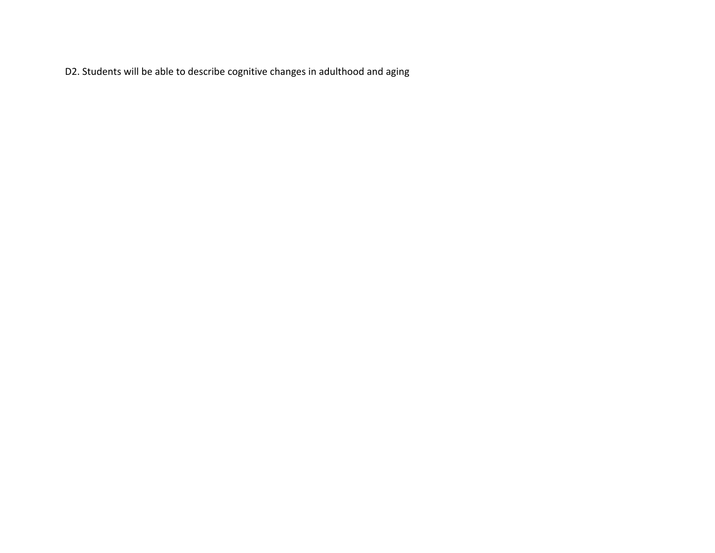D2. Students will be able to describe cognitive changes in adulthood and aging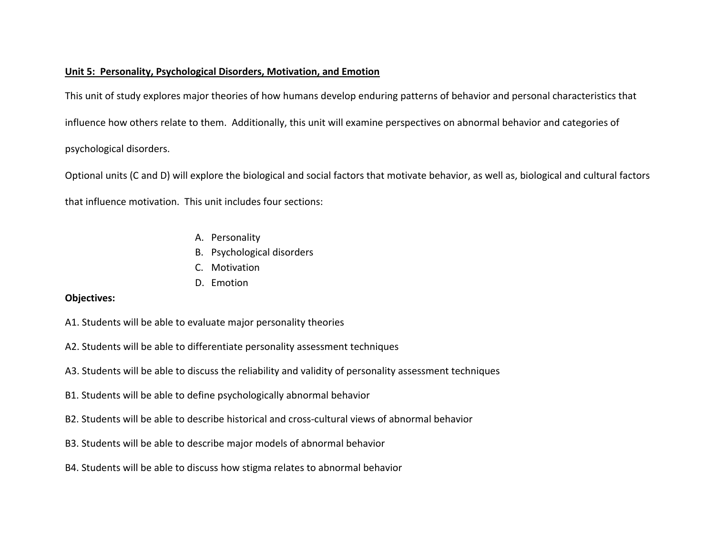### **Unit 5: Personality, Psychological Disorders, Motivation, and Emotion**

This unit of study explores major theories of how humans develop enduring patterns of behavior and personal characteristics that influence how others relate to them. Additionally, this unit will examine perspectives on abnormal behavior and categories of psychological disorders.

Optional units (C and D) will explore the biological and social factors that motivate behavior, as well as, biological and cultural factors that influence motivation. This unit includes four sections:

- A. Personality
- B. Psychological disorders
- C. Motivation
- D. Emotion

- A1. Students will be able to evaluate major personality theories
- A2. Students will be able to differentiate personality assessment techniques
- A3. Students will be able to discuss the reliability and validity of personality assessment techniques
- B1. Students will be able to define psychologically abnormal behavior
- B2. Students will be able to describe historical and cross‐cultural views of abnormal behavior
- B3. Students will be able to describe major models of abnormal behavior
- B4. Students will be able to discuss how stigma relates to abnormal behavior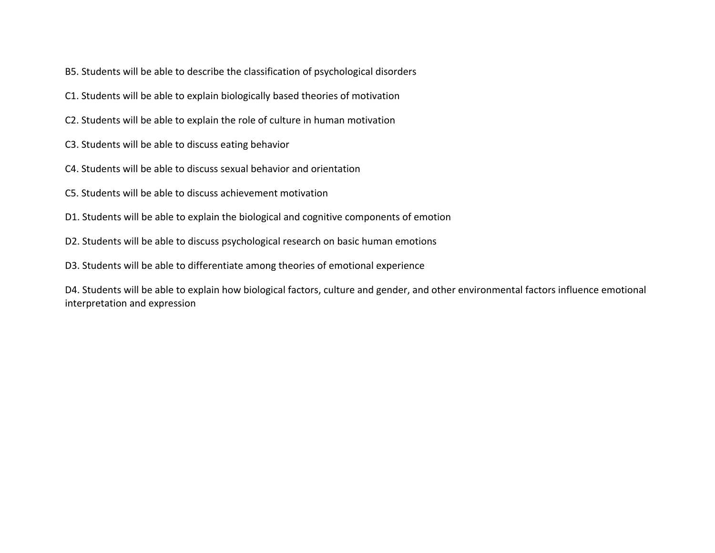- B5. Students will be able to describe the classification of psychological disorders
- C1. Students will be able to explain biologically based theories of motivation
- C2. Students will be able to explain the role of culture in human motivation
- C3. Students will be able to discuss eating behavior
- C4. Students will be able to discuss sexual behavior and orientation
- C5. Students will be able to discuss achievement motivation
- D1. Students will be able to explain the biological and cognitive components of emotion
- D2. Students will be able to discuss psychological research on basic human emotions
- D3. Students will be able to differentiate among theories of emotional experience

D4. Students will be able to explain how biological factors, culture and gender, and other environmental factors influence emotional interpretation and expression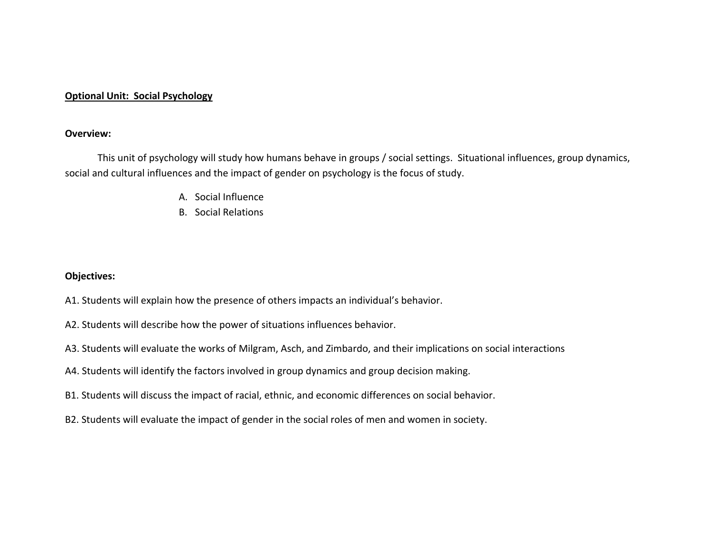### **Optional Unit: Social Psychology**

### **Overview:**

This unit of psychology will study how humans behave in groups / social settings. Situational influences, group dynamics, social and cultural influences and the impact of gender on psychology is the focus of study.

- A. Social Influence
- B. Social Relations

- A1. Students will explain how the presence of others impacts an individual's behavior.
- A2. Students will describe how the power of situations influences behavior.
- A3. Students will evaluate the works of Milgram, Asch, and Zimbardo, and their implications on social interactions
- A4. Students will identify the factors involved in group dynamics and group decision making.
- B1. Students will discuss the impact of racial, ethnic, and economic differences on social behavior.
- B2. Students will evaluate the impact of gender in the social roles of men and women in society.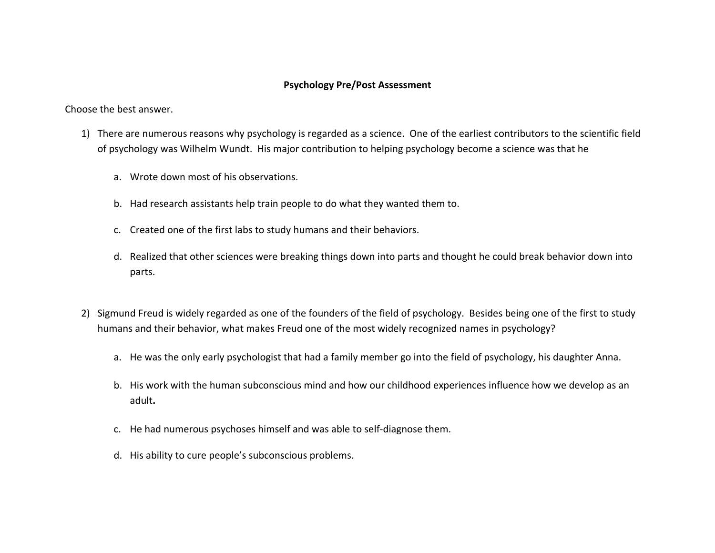### **Psychology Pre/Post Assessment**

Choose the best answer.

- 1) There are numerous reasons why psychology is regarded as <sup>a</sup> science. One of the earliest contributors to the scientific field of psychology was Wilhelm Wundt. His major contribution to helping psychology become <sup>a</sup> science was that he
	- a. Wrote down most of his observations.
	- b. Had research assistants help train people to do what they wanted them to.
	- c. Created one of the first labs to study humans and their behaviors.
	- d. Realized that other sciences were breaking things down into parts and thought he could break behavior down into parts.
- 2) Sigmund Freud is widely regarded as one of the founders of the field of psychology. Besides being one of the first to study humans and their behavior, what makes Freud one of the most widely recognized names in psychology?
	- a. He was the only early psychologist that had <sup>a</sup> family member go into the field of psychology, his daughter Anna.
	- b. His work with the human subconscious mind and how our childhood experiences influence how we develop as an adult**.**
	- c. He had numerous psychoses himself and was able to self‐diagnose them.
	- d. His ability to cure people's subconscious problems.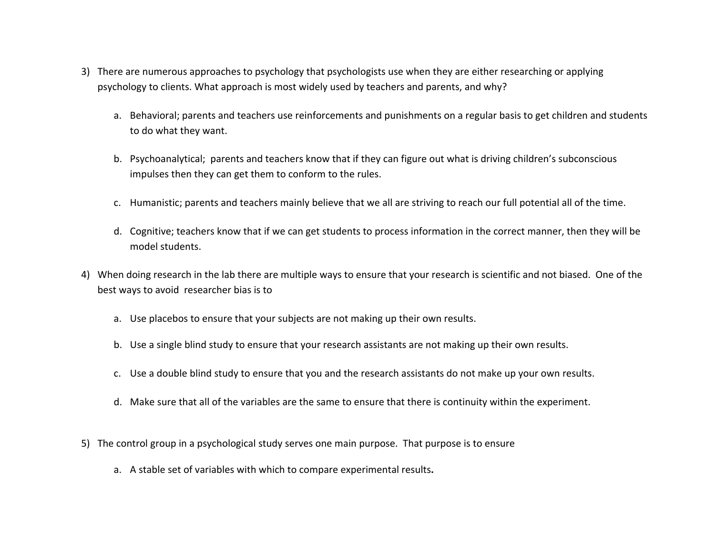- 3) There are numerous approaches to psychology that psychologists use when they are either researching or applying psychology to clients. What approach is most widely used by teachers and parents, and why?
	- a. Behavioral; parents and teachers use reinforcements and punishments on <sup>a</sup> regular basis to get children and students to do what they want.
	- b. Psychoanalytical; parents and teachers know that if they can figure out what is driving children's subconscious impulses then they can get them to conform to the rules.
	- c. Humanistic; parents and teachers mainly believe that we all are striving to reach our full potential all of the time.
	- d. Cognitive; teachers know that if we can get students to process information in the correct manner, then they will be model students.
- 4) When doing research in the lab there are multiple ways to ensure that your research is scientific and not biased. One of the best ways to avoid researcher bias is to
	- a. Use placebos to ensure that your subjects are not making up their own results.
	- b. Use <sup>a</sup> single blind study to ensure that your research assistants are not making up their own results.
	- c. Use <sup>a</sup> double blind study to ensure that you and the research assistants do not make up your own results.
	- d. Make sure that all of the variables are the same to ensure that there is continuity within the experiment.
- 5) The control group in <sup>a</sup> psychological study serves one main purpose. That purpose is to ensure
	- a. A stable set of variables with which to compare experimental results**.**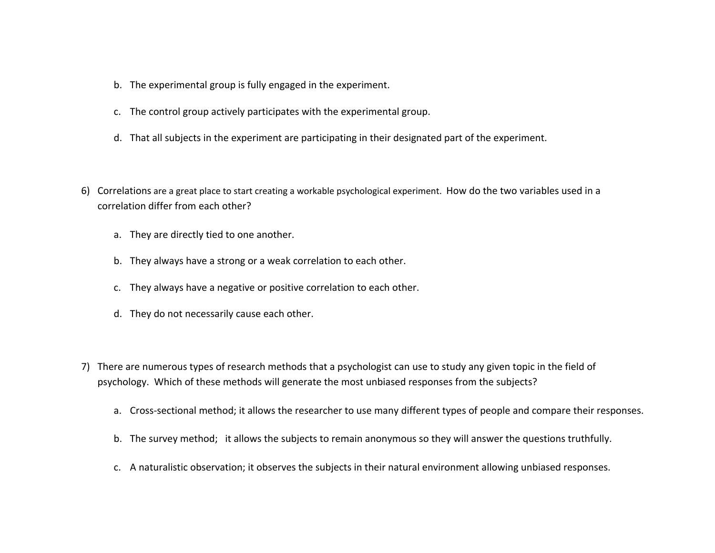- b. The experimental group is fully engaged in the experiment.
- c. The control group actively participates with the experimental group.
- d. That all subjects in the experiment are participating in their designated part of the experiment.
- 6) Correlations are <sup>a</sup> great place to start creating <sup>a</sup> workable psychological experiment. How do the two variables used in <sup>a</sup> correlation differ from each other?
	- a. They are directly tied to one another.
	- b. They always have <sup>a</sup> strong or <sup>a</sup> weak correlation to each other.
	- c. They always have <sup>a</sup> negative or positive correlation to each other.
	- d. They do not necessarily cause each other.
- 7) There are numerous types of research methods that <sup>a</sup> psychologist can use to study any given topic in the field of psychology. Which of these methods will generate the most unbiased responses from the subjects?
	- a. Cross‐sectional method; it allows the researcher to use many different types of people and compare their responses.
	- b. The survey method; it allows the subjects to remain anonymous so they will answer the questions truthfully.
	- c. A naturalistic observation; it observes the subjects in their natural environment allowing unbiased responses.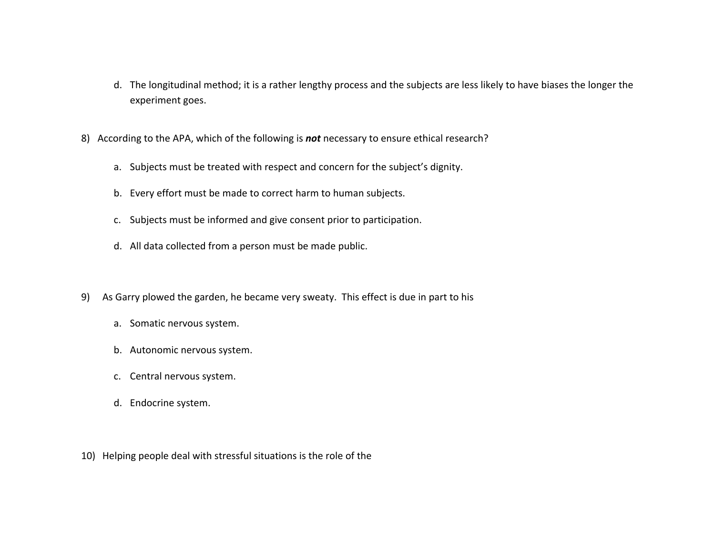- d. The longitudinal method; it is <sup>a</sup> rather lengthy process and the subjects are less likely to have biases the longer the experiment goes.
- 8) According to the APA, which of the following is *not* necessary to ensure ethical research?
	- a. Subjects must be treated with respect and concern for the subject's dignity.
	- b. Every effort must be made to correct harm to human subjects.
	- c. Subjects must be informed and give consent prior to participation.
	- d. All data collected from <sup>a</sup> person must be made public.
- 9) As Garry plowed the garden, he became very sweaty. This effect is due in part to his
	- a. Somatic nervous system.
	- b. Autonomic nervous system.
	- c. Central nervous system.
	- d. Endocrine system.
- 10) Helping people deal with stressful situations is the role of the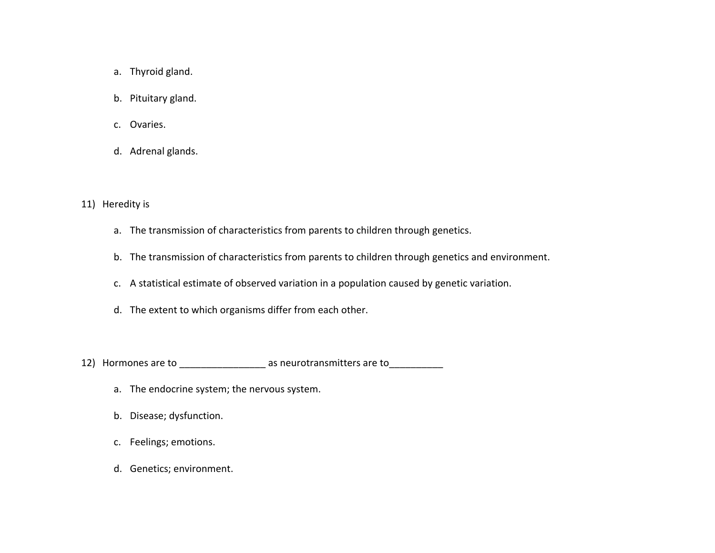- a. Thyroid gland.
- b. Pituitary gland.
- c. Ovaries.
- d. Adrenal glands.
- 11) Heredity is
	- a. The transmission of characteristics from parents to children through genetics.
	- b. The transmission of characteristics from parents to children through genetics and environment.
	- c. A statistical estimate of observed variation in <sup>a</sup> population caused by genetic variation.
	- d. The extent to which organisms differ from each other.
- 12) Hormones are to \_\_\_\_\_\_\_\_\_\_\_\_\_\_\_\_\_\_\_ as neurotransmitters are to \_\_\_\_\_\_\_\_\_\_\_\_
	- a. The endocrine system; the nervous system.
	- b. Disease; dysfunction.
	- c. Feelings; emotions.
	- d. Genetics; environment.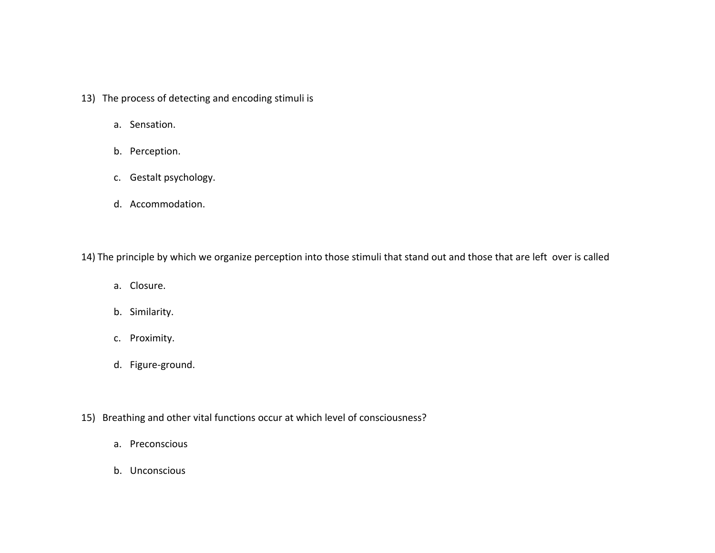- 13) The process of detecting and encoding stimuli is
	- a. Sensation.
	- b. Perception.
	- c. Gestalt psychology.
	- d. Accommodation.

14) The principle by which we organize perception into those stimuli that stand out and those that are left over is called

- a. Closure.
- b. Similarity.
- c. Proximity.
- d. Figure‐ground.
- 15) Breathing and other vital functions occur at which level of consciousness?
	- a. Preconscious
	- b. Unconscious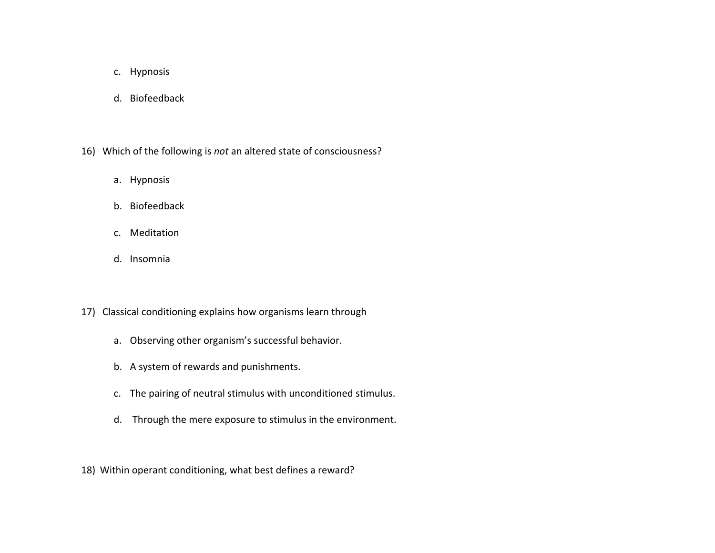- c. Hypnosis
- d. Biofeedback
- 16) Which of the following is *not* an altered state of consciousness?
	- a. Hypnosis
	- b. Biofeedback
	- c. Meditation
	- d. Insomnia
- 17) Classical conditioning explains how organisms learn through
	- a. Observing other organism's successful behavior.
	- b. A system of rewards and punishments.
	- c. The pairing of neutral stimulus with unconditioned stimulus.
	- d. Through the mere exposure to stimulus in the environment.
- 18) Within operant conditioning, what best defines <sup>a</sup> reward?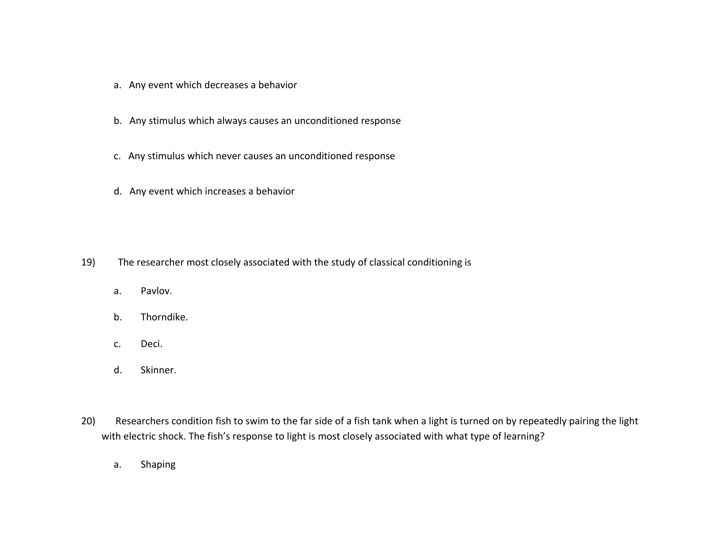- a. Any event which decreases <sup>a</sup> behavior
- b. Any stimulus which always causes an unconditioned response
- c. Any stimulus which never causes an unconditioned response
- d. Any event which increases <sup>a</sup> behavior

- 19) The researcher most closely associated with the study of classical conditioning is
	- a.Pavlov.
	- b.Thorndike.
	- c.Deci.
	- d.Skinner.
- 20) Researchers condition fish to swim to the far side of <sup>a</sup> fish tank when <sup>a</sup> light is turned on by repeatedly pairing the light with electric shock. The fish's response to light is most closely associated with what type of learning?
	- a.Shaping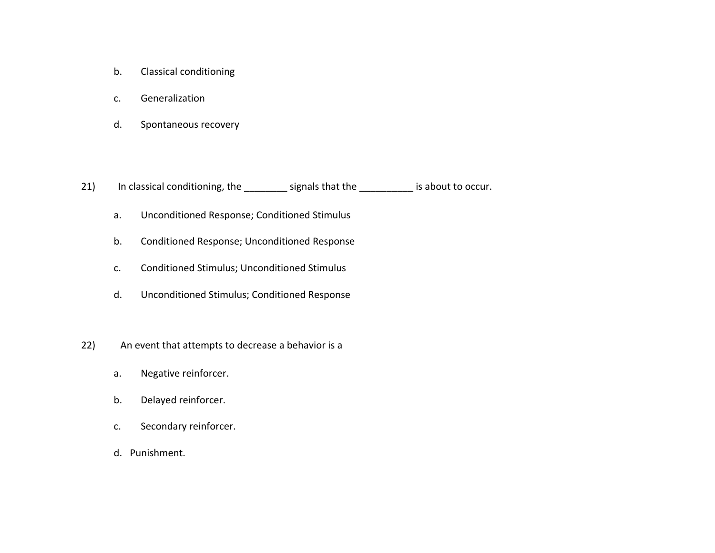- b.Classical conditioning
- c.Generalization
- d.Spontaneous recovery

21) In classical conditioning, the \_\_\_\_\_\_\_\_ signals that the \_\_\_\_\_\_\_\_\_\_ is about to occur.

- a.Unconditioned Response; Conditioned Stimulus
- b.Conditioned Response; Unconditioned Response
- c.Conditioned Stimulus; Unconditioned Stimulus
- d.Unconditioned Stimulus; Conditioned Response
- 22) An event that attempts to decrease <sup>a</sup> behavior is <sup>a</sup>
	- a.Negative reinforcer.
	- b.Delayed reinforcer.
	- c.Secondary reinforcer.
	- d. Punishment.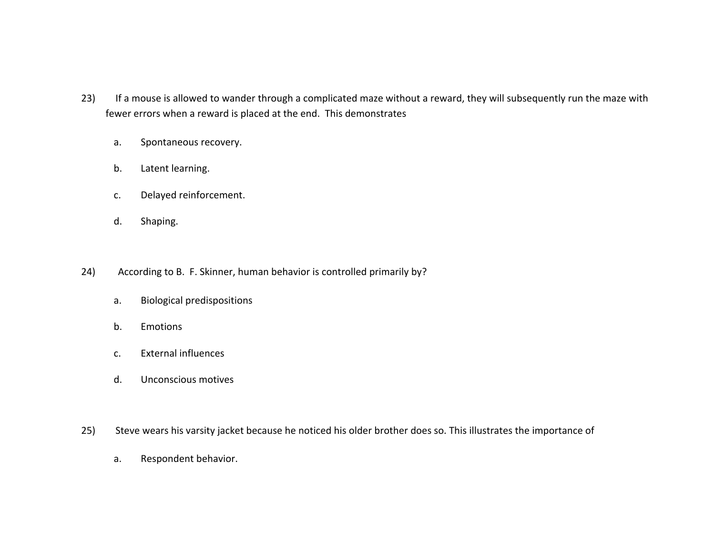- 23) If a mouse is allowed to wander through a complicated maze without a reward, they will subsequently run the maze with fewer errors when <sup>a</sup> reward is placed at the end. This demonstrates
	- a.Spontaneous recovery.
	- b.Latent learning.
	- c.Delayed reinforcement.
	- d.Shaping.
- 24) According to B. F. Skinner, human behavior is controlled primarily by?
	- a.Biological predispositions
	- b.Emotions
	- c.External influences
	- d.Unconscious motives
- 25) Steve wears his varsity jacket because he noticed his older brother does so. This illustrates the importance of
	- a.Respondent behavior.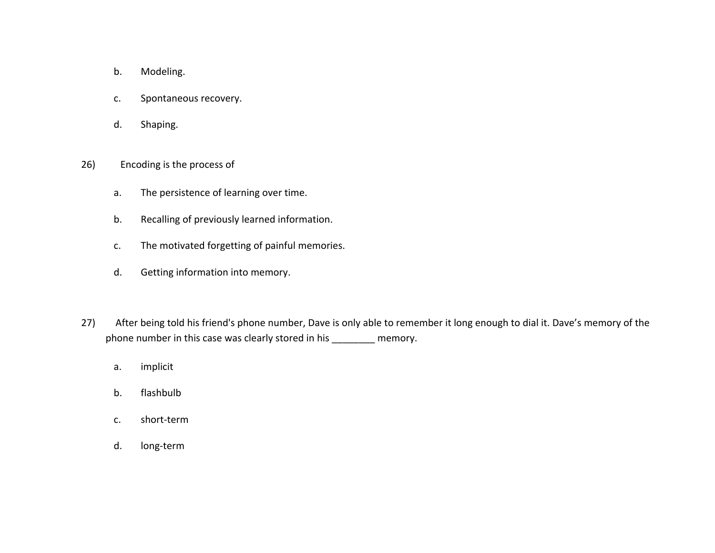- b.Modeling.
- c.Spontaneous recovery.
- d.Shaping.
- 26) Encoding is the process of
	- a.The persistence of learning over time.
	- b.Recalling of previously learned information.
	- c.The motivated forgetting of painful memories.
	- d.Getting information into memory.
- 27) After being told his friend's phone number, Dave is only able to remember it long enough to dial it. Dave's memory of the phone number in this case was clearly stored in his \_\_\_\_\_\_\_\_ memory.
	- a.implicit
	- b.flashbulb
	- c.short‐term
	- d.long‐term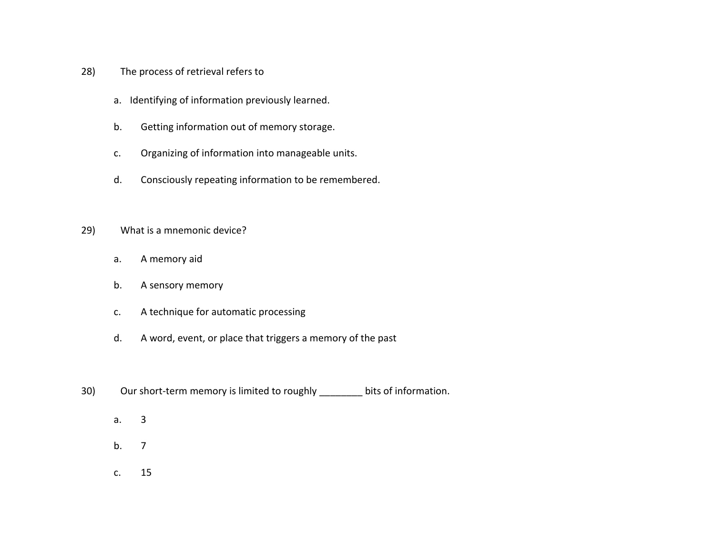- 28) The process of retrieval refers to
	- a. Identifying of information previously learned.
	- b.Getting information out of memory storage.
	- c.Organizing of information into manageable units.
	- d.Consciously repeating information to be remembered.
- 29) What is <sup>a</sup> mnemonic device?
	- a.A memory aid
	- b.A sensory memory
	- c.A technique for automatic processing
	- d.A word, event, or place that triggers <sup>a</sup> memory of the past
- 30) Our short-term memory is limited to roughly \_\_\_\_\_\_\_\_ bits of information.
	- a.3
	- b.. 7
	- c.15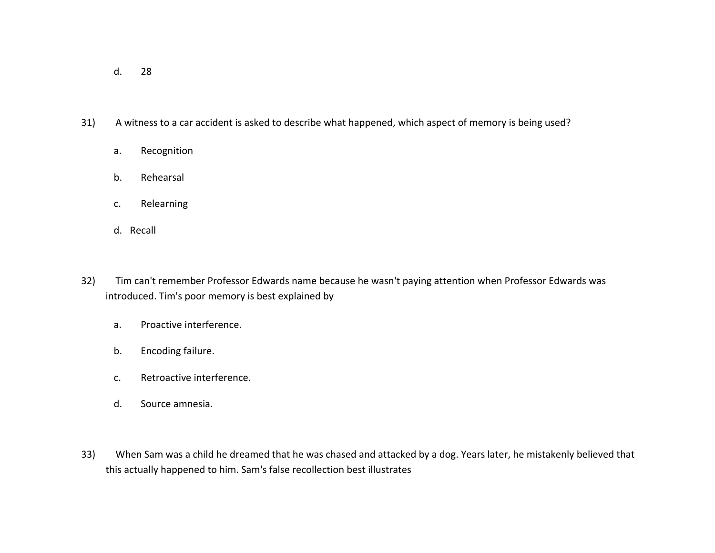- d.28
- 31) A witness to <sup>a</sup> car accident is asked to describe what happened, which aspect of memory is being used?
	- a.Recognition
	- b.Rehearsal
	- c.Relearning
	- d. Recall
- 32) Tim can't remember Professor Edwards name because he wasn't paying attention when Professor Edwards was introduced. Tim's poor memory is best explained by
	- a.Proactive interference.
	- b.Encoding failure.
	- c.Retroactive interference.
	- d.Source amnesia.
- 33) When Sam was <sup>a</sup> child he dreamed that he was chased and attacked by <sup>a</sup> dog. Years later, he mistakenly believed that this actually happened to him. Sam's false recollection best illustrates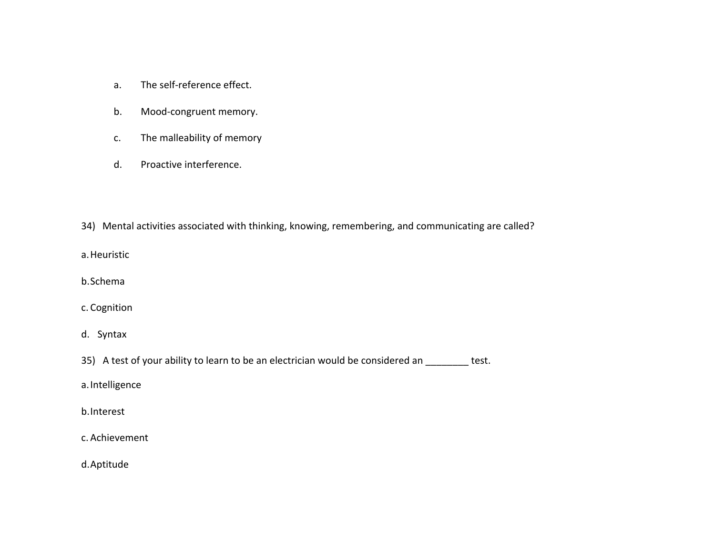- a.The self‐reference effect.
- b.Mood‐congruent memory.
- c.The malleability of memory
- d.Proactive interference.
- 34) Mental activities associated with thinking, knowing, remembering, and communicating are called?
- a.Heuristic
- b.Schema
- c. Cognition
- d. Syntax
- 35) A test of your ability to learn to be an electrician would be considered an \_\_\_\_\_\_\_\_ test.
- a.Intelligence
- b.Interest
- c. Achievement
- d.Aptitude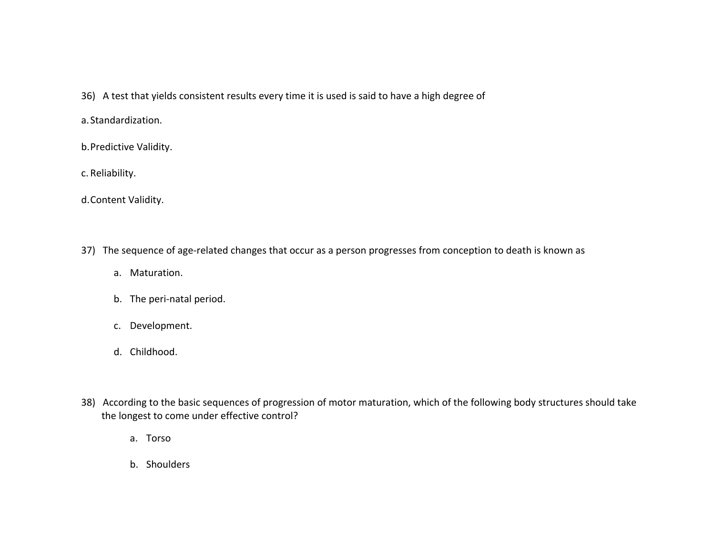- 36) A test that yields consistent results every time it is used is said to have <sup>a</sup> high degree of
- a.Standardization.
- b.Predictive Validity.
- c. Reliability.
- d.Content Validity.
- 37) The sequence of age-related changes that occur as a person progresses from conception to death is known as
	- a. Maturation.
	- b. The peri‐natal period.
	- c. Development.
	- d. Childhood.
- 38) According to the basic sequences of progression of motor maturation, which of the following body structures should take the longest to come under effective control?
	- a. Torso
	- b. Shoulders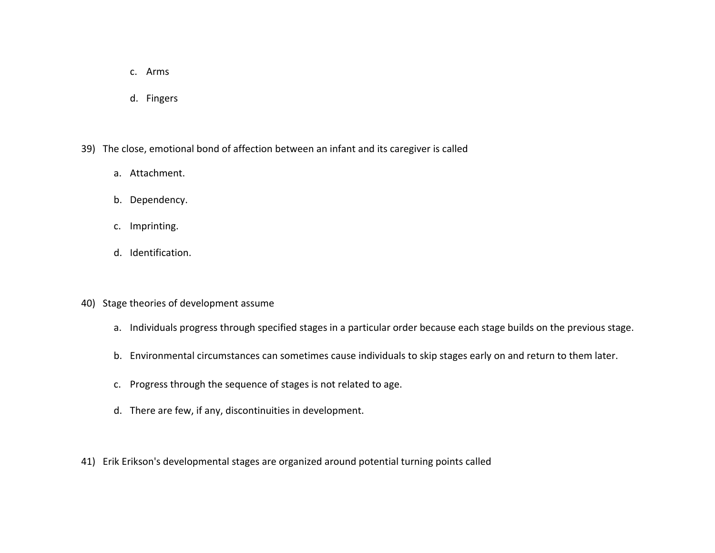- c. Arms
- d. Fingers
- 39) The close, emotional bond of affection between an infant and its caregiver is called
	- a. Attachment.
	- b. Dependency.
	- c. Imprinting.
	- d. Identification.
- 40) Stage theories of development assume
	- a. Individuals progress through specified stages in <sup>a</sup> particular order because each stage builds on the previous stage.
	- b. Environmental circumstances can sometimes cause individuals to skip stages early on and return to them later.
	- c. Progress through the sequence of stages is not related to age.
	- d. There are few, if any, discontinuities in development.
- 41) Erik Erikson's developmental stages are organized around potential turning points called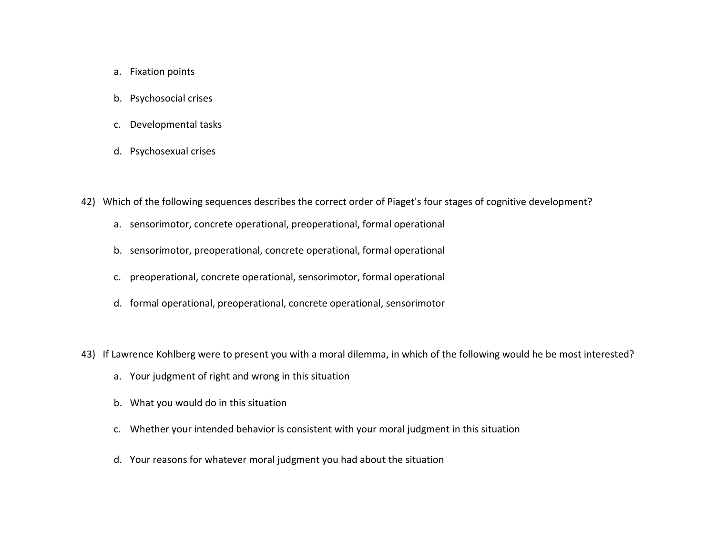- a. Fixation points
- b. Psychosocial crises
- c. Developmental tasks
- d. Psychosexual crises
- 42) Which of the following sequences describes the correct order of Piaget's four stages of cognitive development?
	- a. sensorimotor, concrete operational, preoperational, formal operational
	- b. sensorimotor, preoperational, concrete operational, formal operational
	- c. preoperational, concrete operational, sensorimotor, formal operational
	- d. formal operational, preoperational, concrete operational, sensorimotor
- 43) If Lawrence Kohlberg were to present you with <sup>a</sup> moral dilemma, in which of the following would he be most interested?
	- a. Your judgment of right and wrong in this situation
	- b. What you would do in this situation
	- c. Whether your intended behavior is consistent with your moral judgment in this situation
	- d. Your reasons for whatever moral judgment you had about the situation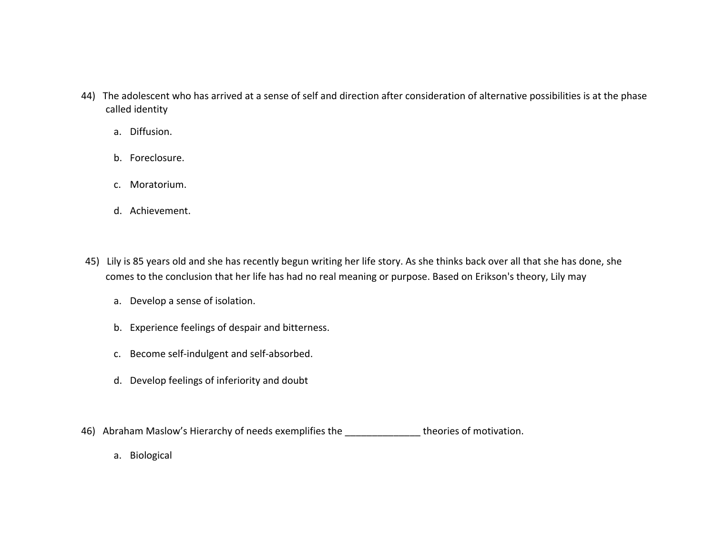- 44) The adolescent who has arrived at <sup>a</sup> sense of self and direction after consideration of alternative possibilities is at the phase called identity
	- a. Diffusion.
	- b. Foreclosure.
	- c. Moratorium.
	- d. Achievement.
- 45) Lily is 85 years old and she has recently begun writing her life story. As she thinks back over all that she has done, she comes to the conclusion that her life has had no real meaning or purpose. Based on Erikson's theory, Lily may
	- a. Develop <sup>a</sup> sense of isolation.
	- b. Experience feelings of despair and bitterness.
	- c. Become self‐indulgent and self‐absorbed.
	- d. Develop feelings of inferiority and doubt
- 46) Abraham Maslow's Hierarchy of needs exemplifies the \_\_\_\_\_\_\_\_\_\_\_\_\_\_\_\_\_theories of motivation.
	- a. Biological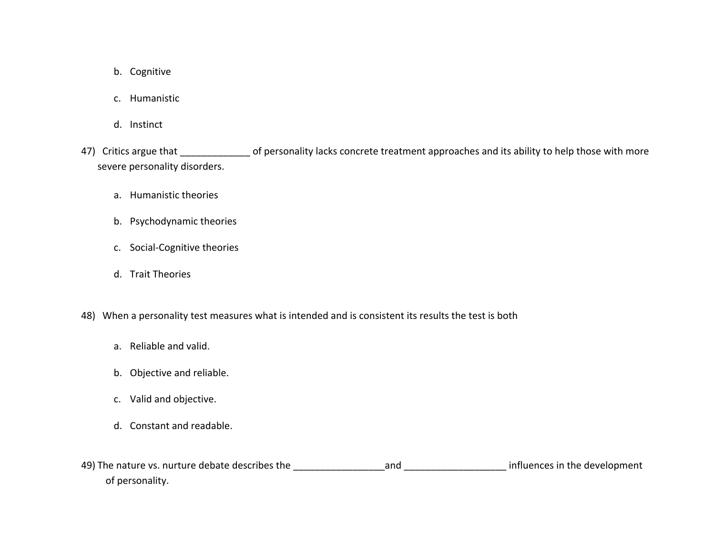- b. Cognitive
- c. Humanistic
- d. Instinct
- 47) Critics argue that \_\_\_\_\_\_\_\_\_\_\_\_\_\_\_ of personality lacks concrete treatment approaches and its ability to help those with more severe personality disorders.
	- a. Humanistic theories
	- b. Psychodynamic theories
	- c. Social‐Cognitive theories
	- d. Trait Theories
- 48) When <sup>a</sup> personality test measures what is intended and is consistent its results the test is both
	- a. Reliable and valid.
	- b. Objective and reliable.
	- c. Valid and objective.
	- d. Constant and readable.
- 49) The nature vs. nurture debate describes the \_\_\_\_\_\_\_\_\_\_\_\_\_\_\_\_\_and \_\_\_\_\_\_\_\_\_\_\_\_\_\_\_\_\_\_\_ influences in the development of personality.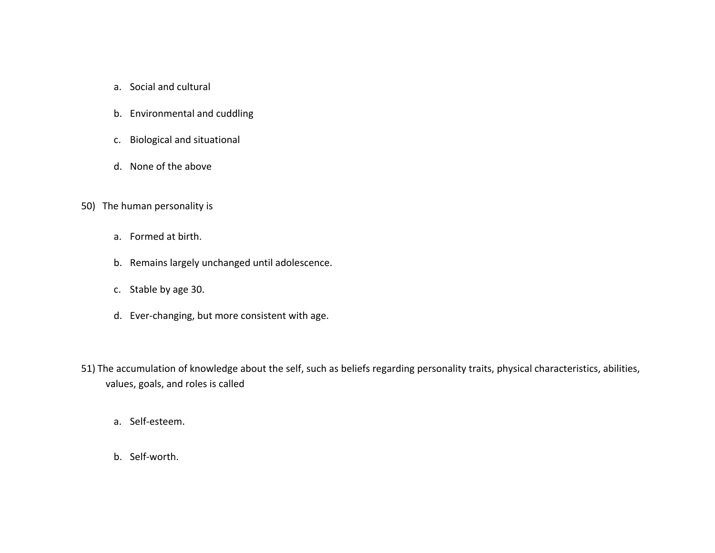- a. Social and cultural
- b. Environmental and cuddling
- c. Biological and situational
- d. None of the above
- 50) The human personality is
	- a. Formed at birth.
	- b. Remains largely unchanged until adolescence.
	- c. Stable by age 30.
	- d. Ever‐changing, but more consistent with age.
- 51) The accumulation of knowledge about the self, such as beliefs regarding personality traits, physical characteristics, abilities, values, goals, and roles is called
	- a. Self‐esteem.
	- b. Self‐worth.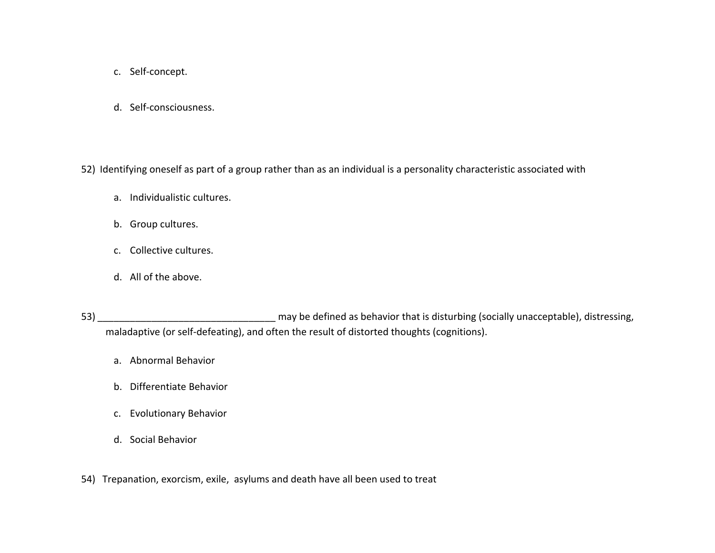- c. Self‐concept.
- d. Self‐consciousness.

52) Identifying oneself as part of <sup>a</sup> group rather than as an individual is <sup>a</sup> personality characteristic associated with

- a. Individualistic cultures.
- b. Group cultures.
- c. Collective cultures.
- d. All of the above.
- 53) \_\_\_\_\_\_\_\_\_\_\_\_\_\_\_\_\_\_\_\_\_\_\_\_\_\_\_\_\_\_\_\_\_ may be defined as behavior that is disturbing (socially unacceptable), distressing, maladaptive (or self-defeating), and often the result of distorted thoughts (cognitions).
	- a. Abnormal Behavior
	- b. Differentiate Behavior
	- c. Evolutionary Behavior
	- d. Social Behavior
- 54) Trepanation, exorcism, exile, asylums and death have all been used to treat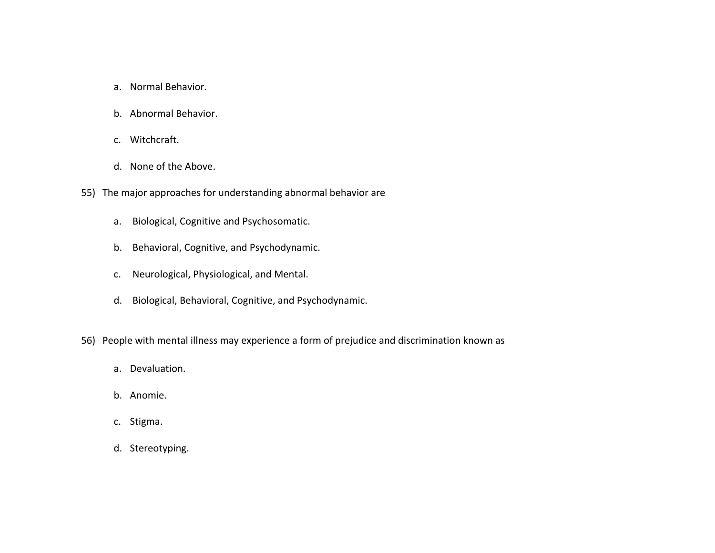- a. Normal Behavior.
- b. Abnormal Behavior.
- c. Witchcraft.
- d. None of the Above.
- 55) The major approaches for understanding abnormal behavior are
	- a. Biological, Cognitive and Psychosomatic.
	- b. Behavioral, Cognitive, and Psychodynamic.
	- c.Neurological, Physiological, and Mental.
	- d. Biological, Behavioral, Cognitive, and Psychodynamic.
- 56) People with mental illness may experience <sup>a</sup> form of prejudice and discrimination known as
	- a. Devaluation.
	- b. Anomie.
	- c. Stigma.
	- d. Stereotyping.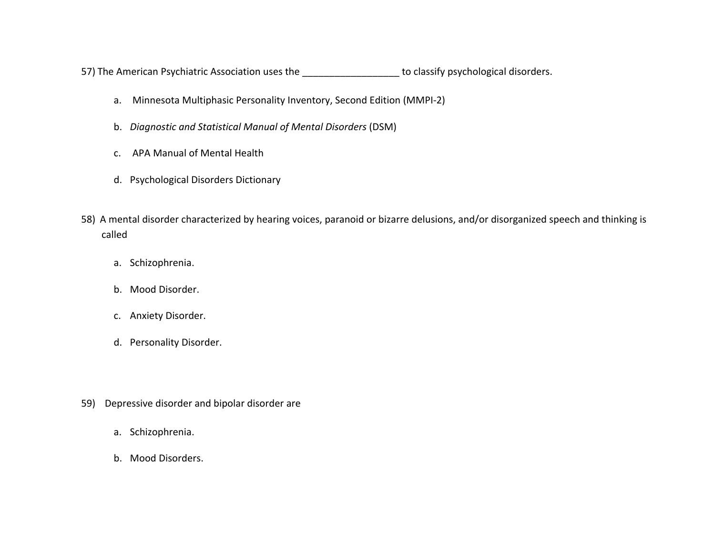57) The American Psychiatric Association uses the **\_\_\_\_\_\_\_\_\_\_\_\_\_\_\_\_\_\_\_\_\_** to classify psychological disorders.

- a. Minnesota Multiphasic Personality Inventory, Second Edition (MMPI‐2)
- b. *Diagnostic and Statistical Manual of Mental Disorders* (DSM)
- c. APA Manual of Mental Health
- d. Psychological Disorders Dictionary
- 58) A mental disorder characterized by hearing voices, paranoid or bizarre delusions, and/or disorganized speech and thinking is called
	- a. Schizophrenia.
	- b. Mood Disorder.
	- c. Anxiety Disorder.
	- d. Personality Disorder.
- 59) Depressive disorder and bipolar disorder are
	- a. Schizophrenia.
	- b. Mood Disorders.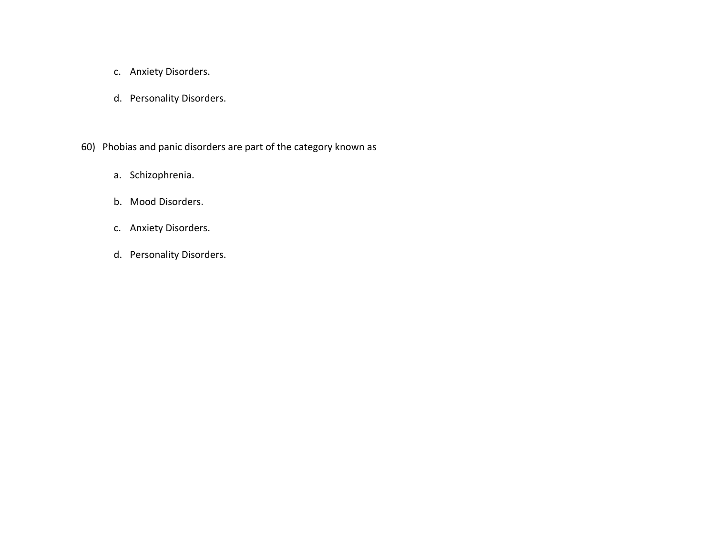- c. Anxiety Disorders.
- d. Personality Disorders.
- 60) Phobias and panic disorders are part of the category known as
	- a. Schizophrenia.
	- b. Mood Disorders.
	- c. Anxiety Disorders.
	- d. Personality Disorders.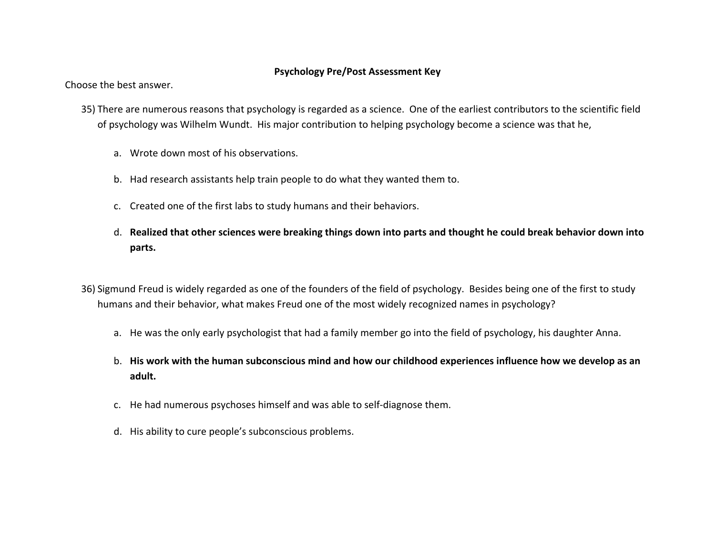#### **Psychology Pre/Post Assessment Key**

Choose the best answer.

- 35) There are numerous reasons that psychology is regarded as <sup>a</sup> science. One of the earliest contributors to the scientific field of psychology was Wilhelm Wundt. His major contribution to helping psychology become <sup>a</sup> science was that he,
	- a. Wrote down most of his observations.
	- b. Had research assistants help train people to do what they wanted them to.
	- c. Created one of the first labs to study humans and their behaviors.
	- d. Realized that other sciences were breaking things down into parts and thought he could break behavior down into **parts.**
- 36) Sigmund Freud is widely regarded as one of the founders of the field of psychology. Besides being one of the first to study humans and their behavior, what makes Freud one of the most widely recognized names in psychology?
	- a. He was the only early psychologist that had <sup>a</sup> family member go into the field of psychology, his daughter Anna.
	- b. His work with the human subconscious mind and how our childhood experiences influence how we develop as an **adult.**
	- c. He had numerous psychoses himself and was able to self‐diagnose them.
	- d. His ability to cure people's subconscious problems.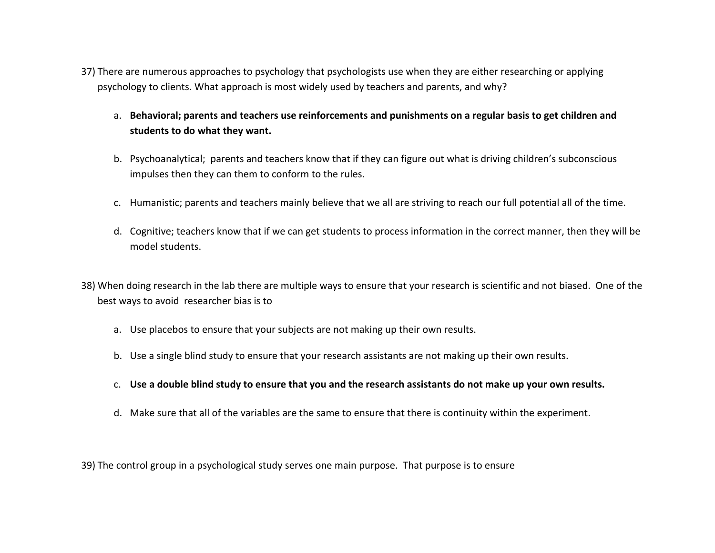- 37) There are numerous approaches to psychology that psychologists use when they are either researching or applying psychology to clients. What approach is most widely used by teachers and parents, and why?
	- a. **Behavioral; parents and teachers use reinforcements and punishments on <sup>a</sup> regular basis to get children and students to do what they want.**
	- b. Psychoanalytical; parents and teachers know that if they can figure out what is driving children's subconscious impulses then they can them to conform to the rules.
	- c. Humanistic; parents and teachers mainly believe that we all are striving to reach our full potential all of the time.
	- d. Cognitive; teachers know that if we can get students to process information in the correct manner, then they will be model students.
- 38) When doing research in the lab there are multiple ways to ensure that your research is scientific and not biased. One of the best ways to avoid researcher bias is to
	- a. Use placebos to ensure that your subjects are not making up their own results.
	- b. Use <sup>a</sup> single blind study to ensure that your research assistants are not making up their own results.
	- c. Use a double blind study to ensure that you and the research assistants do not make up your own results.
	- d. Make sure that all of the variables are the same to ensure that there is continuity within the experiment.

39) The control group in <sup>a</sup> psychological study serves one main purpose. That purpose is to ensure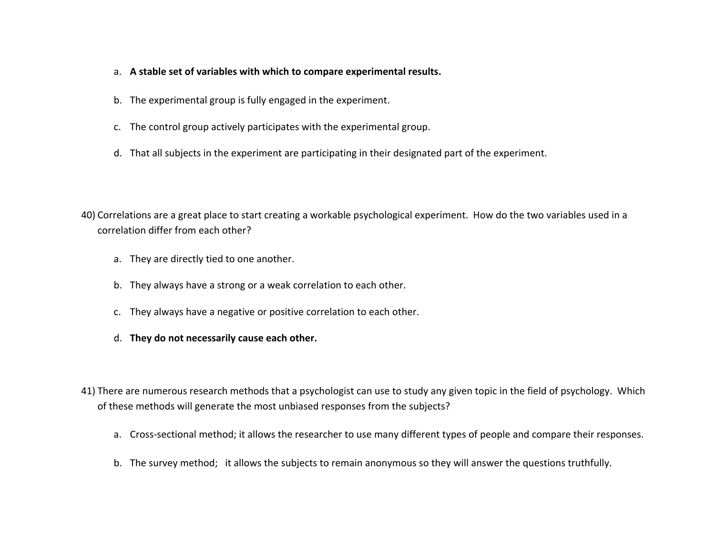- a. **A stable set of variables with which to compare experimental results.**
- b. The experimental group is fully engaged in the experiment.
- c. The control group actively participates with the experimental group.
- d. That all subjects in the experiment are participating in their designated part of the experiment.
- 40) Correlations are <sup>a</sup> great place to start creating <sup>a</sup> workable psychological experiment. How do the two variables used in <sup>a</sup> correlation differ from each other?
	- a. They are directly tied to one another.
	- b. They always have <sup>a</sup> strong or <sup>a</sup> weak correlation to each other.
	- c. They always have <sup>a</sup> negative or positive correlation to each other.
	- d. **They do not necessarily cause each other.**
- 41) There are numerous research methods that <sup>a</sup> psychologist can use to study any given topic in the field of psychology. Which of these methods will generate the most unbiased responses from the subjects?
	- a. Cross‐sectional method; it allows the researcher to use many different types of people and compare their responses.
	- b. The survey method; it allows the subjects to remain anonymous so they will answer the questions truthfully.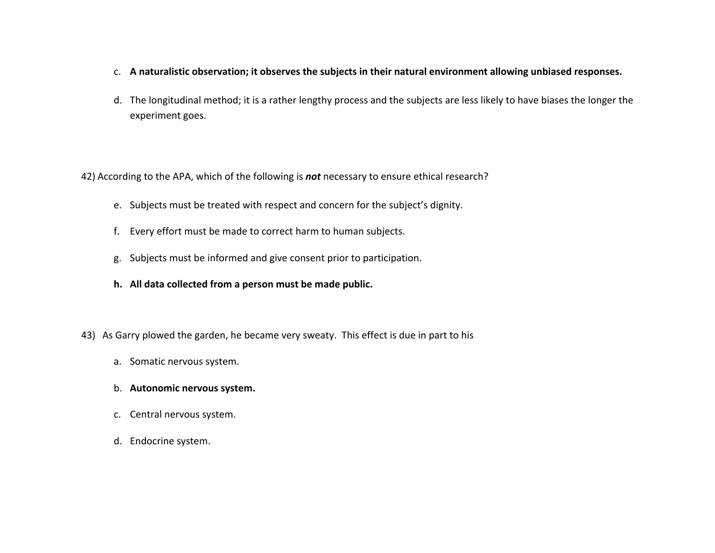- c. **A naturalistic observation; it observes the subjects in their natural environment allowing unbiased responses.**
- d. The longitudinal method; it is <sup>a</sup> rather lengthy process and the subjects are less likely to have biases the longer the experiment goes.

42) According to the APA, which of the following is *not* necessary to ensure ethical research?

- e. Subjects must be treated with respect and concern for the subject's dignity.
- f. Every effort must be made to correct harm to human subjects.
- g. Subjects must be informed and give consent prior to participation.
- **h. All data collected from <sup>a</sup> person must be made public.**
- 43) As Garry plowed the garden, he became very sweaty. This effect is due in part to his
	- a. Somatic nervous system.
	- b. **Autonomic nervous system.**
	- c. Central nervous system.
	- d. Endocrine system.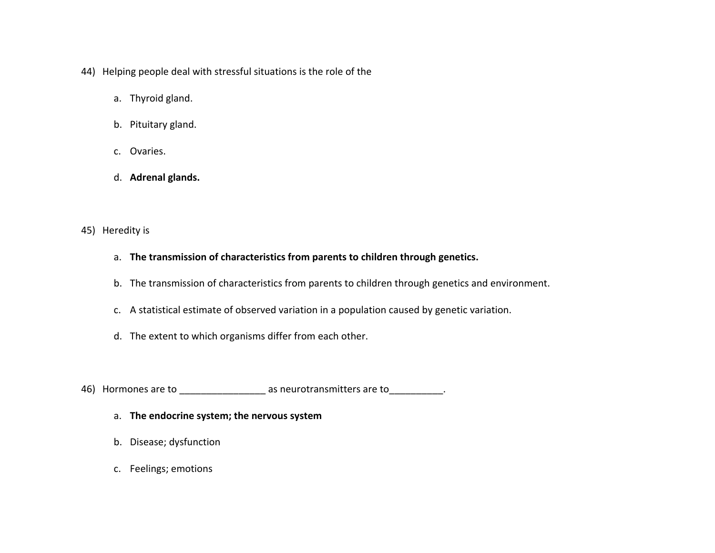- 44) Helping people deal with stressful situations is the role of the
	- a. Thyroid gland.
	- b. Pituitary gland.
	- c. Ovaries.
	- d. **Adrenal glands.**
- 45) Heredity is
	- a. **The transmission of characteristics from parents to children through genetics.**
	- b. The transmission of characteristics from parents to children through genetics and environment.
	- c. A statistical estimate of observed variation in <sup>a</sup> population caused by genetic variation.
	- d. The extent to which organisms differ from each other.
- 46) Hormones are to \_\_\_\_\_\_\_\_\_\_\_\_\_\_\_\_\_\_\_\_ as neurotransmitters are to \_\_\_\_\_\_\_\_\_\_\_.
	- a. **The endocrine system; the nervous system**
	- b. Disease; dysfunction
	- c. Feelings; emotions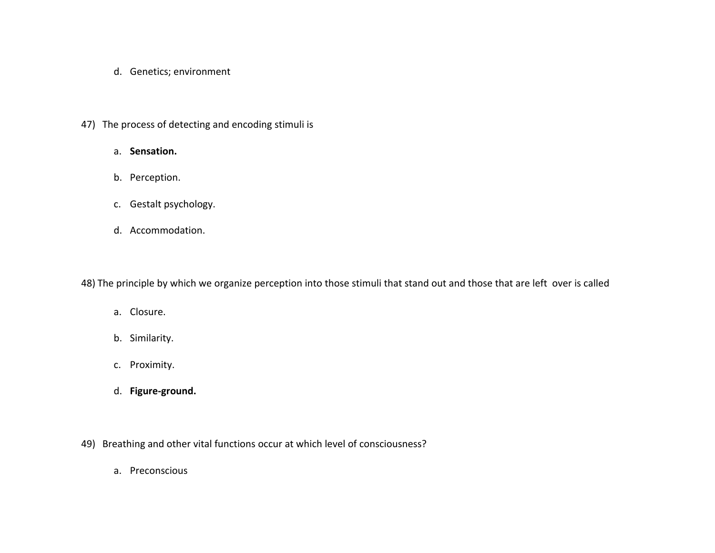- d. Genetics; environment
- 47) The process of detecting and encoding stimuli is
	- a. **Sensation.**
	- b. Perception.
	- c. Gestalt psychology.
	- d. Accommodation.

48) The principle by which we organize perception into those stimuli that stand out and those that are left over is called

- a. Closure.
- b. Similarity.
- c. Proximity.
- d. **Figure‐ground.**
- 49) Breathing and other vital functions occur at which level of consciousness?
	- a. Preconscious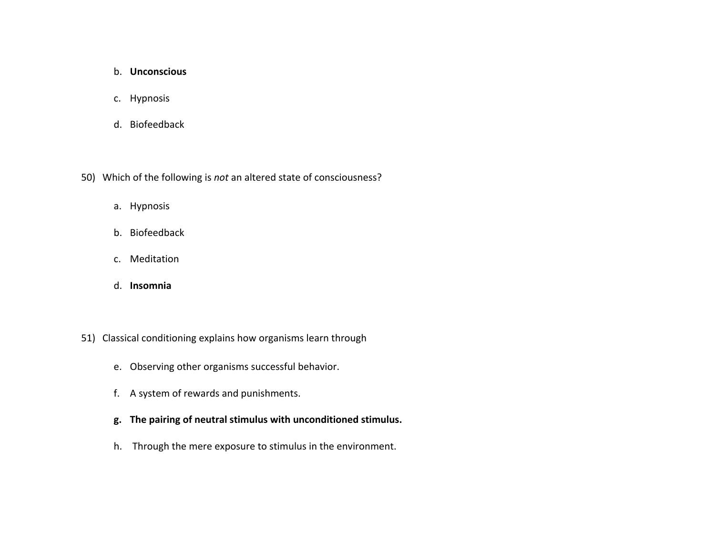#### b. **Unconscious**

- c. Hypnosis
- d. Biofeedback
- 50) Which of the following is *not* an altered state of consciousness?
	- a. Hypnosis
	- b. Biofeedback
	- c. Meditation
	- d. **Insomnia**
- 51) Classical conditioning explains how organisms learn through
	- e. Observing other organisms successful behavior.
	- f. A system of rewards and punishments.
	- **g. The pairing of neutral stimulus with unconditioned stimulus.**
	- h. Through the mere exposure to stimulus in the environment.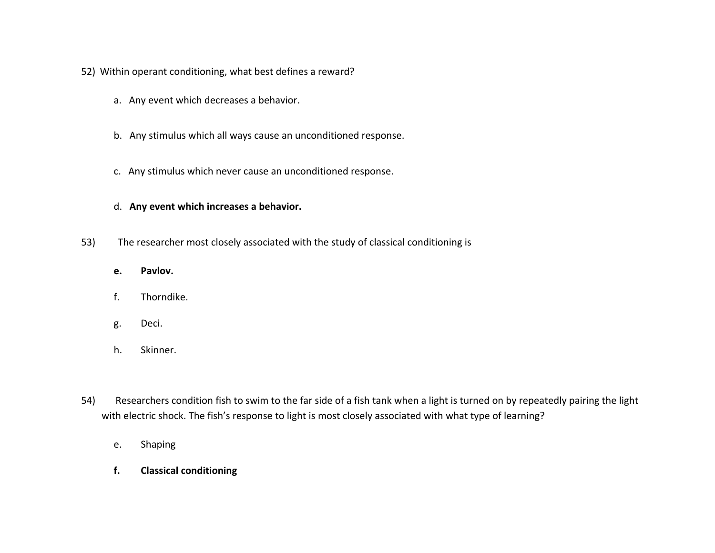- 52) Within operant conditioning, what best defines <sup>a</sup> reward?
	- a. Any event which decreases <sup>a</sup> behavior.
	- b. Any stimulus which all ways cause an unconditioned response.
	- c. Any stimulus which never cause an unconditioned response.

#### d. **Any event which increases <sup>a</sup> behavior.**

- 53) The researcher most closely associated with the study of classical conditioning is
	- **e.Pavlov.**
	- f.Thorndike.
	- g. Deci.
	- h.Skinner.
- 54) Researchers condition fish to swim to the far side of <sup>a</sup> fish tank when <sup>a</sup> light is turned on by repeatedly pairing the light with electric shock. The fish's response to light is most closely associated with what type of learning?
	- e.Shaping
	- **f.Classical conditioning**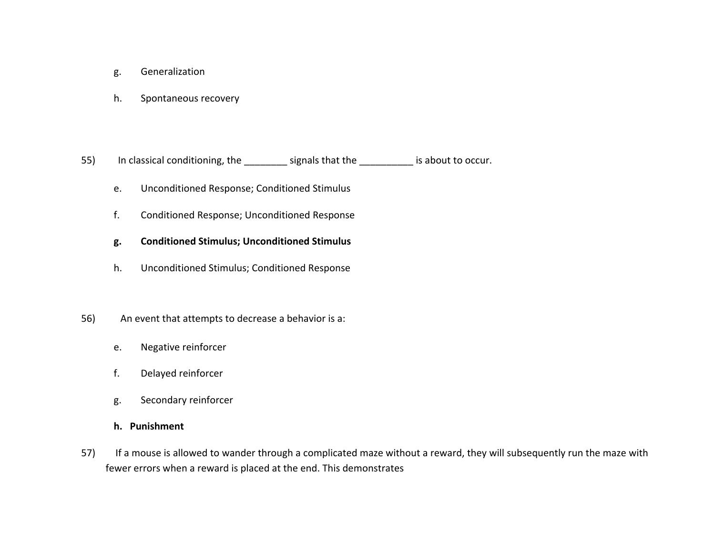- g. Generalization
- h.Spontaneous recovery

55) In classical conditioning, the \_\_\_\_\_\_\_\_ signals that the \_\_\_\_\_\_\_\_\_\_ is about to occur.

- e.Unconditioned Response; Conditioned Stimulus
- f.Conditioned Response; Unconditioned Response
- **g. Conditioned Stimulus; Unconditioned Stimulus**
- h.Unconditioned Stimulus; Conditioned Response
- 56) An event that attempts to decrease <sup>a</sup> behavior is a:
	- e.Negative reinforcer
	- f.Delayed reinforcer
	- g. Secondary reinforcer

#### **h. Punishment**

57) If <sup>a</sup> mouse is allowed to wander through <sup>a</sup> complicated maze without <sup>a</sup> reward, they will subsequently run the maze with fewer errors when <sup>a</sup> reward is placed at the end. This demonstrates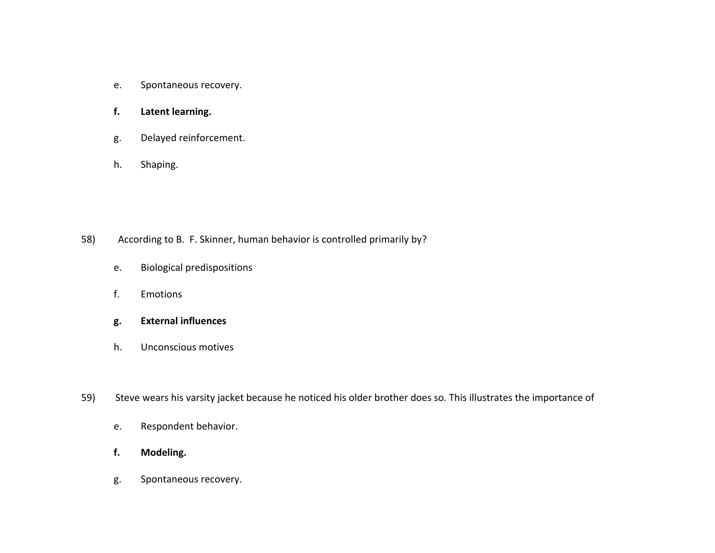- e.Spontaneous recovery.
- **f.Latent learning.**
- g. Delayed reinforcement.
- h.Shaping.

- 58) According to B. F. Skinner, human behavior is controlled primarily by?
	- e.Biological predispositions
	- f.. Emotions
	- **g. External influences**
	- h.Unconscious motives
- 59) Steve wears his varsity jacket because he noticed his older brother does so. This illustrates the importance of
	- e.Respondent behavior.
	- **f.Modeling.**
	- g. Spontaneous recovery.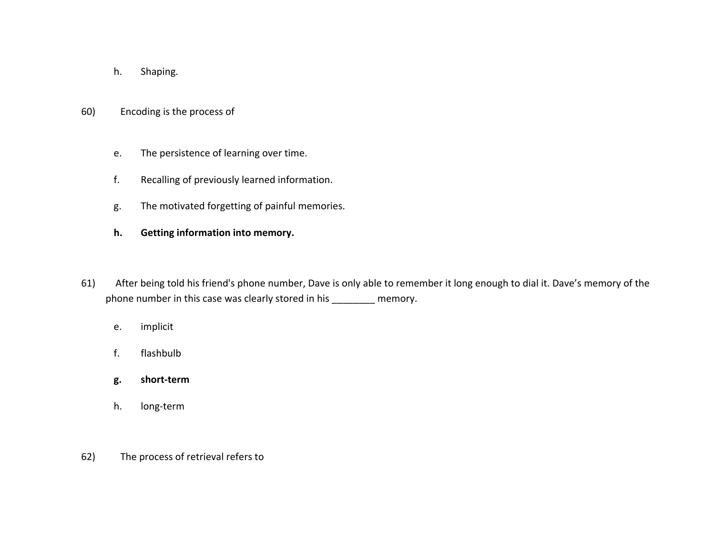- h.Shaping.
- 60) Encoding is the process of
	- e.The persistence of learning over time.
	- f.Recalling of previously learned information.
	- g. The motivated forgetting of painful memories.
	- **h.Getting information into memory.**
- 61) After being told his friend's phone number, Dave is only able to remember it long enough to dial it. Dave's memory of the phone number in this case was clearly stored in his \_\_\_\_\_\_\_\_ memory.
	- e.implicit
	- f.flashbulb
	- **g. short‐term**
	- h.long‐term
- 62) The process of retrieval refers to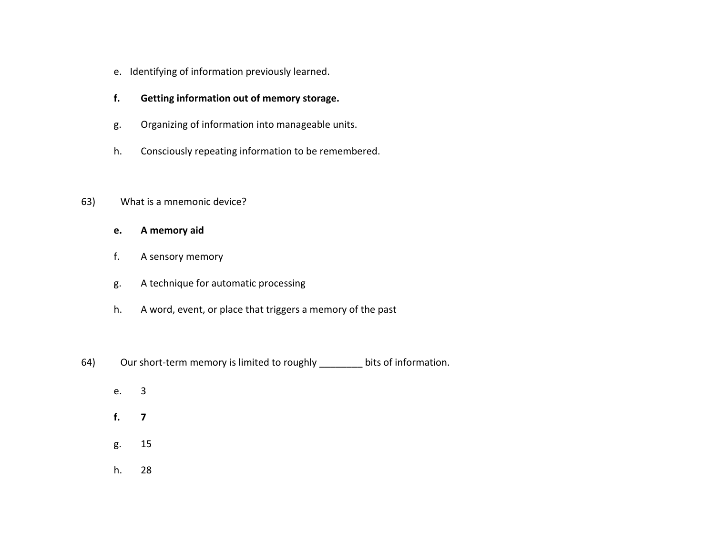- e. Identifying of information previously learned.
- **f.Getting information out of memory storage.**
- g. Organizing of information into manageable units.
- h.Consciously repeating information to be remembered.

### 63) What is <sup>a</sup> mnemonic device?

- **e.A memory aid**
- f.A sensory memory
- g. A technique for automatic processing
- h.A word, event, or place that triggers <sup>a</sup> memory of the past
- 64) Our short-term memory is limited to roughly \_\_\_\_\_\_\_\_ bits of information.
	- e.3
	- **f.7**
	- g. 15
	- h.28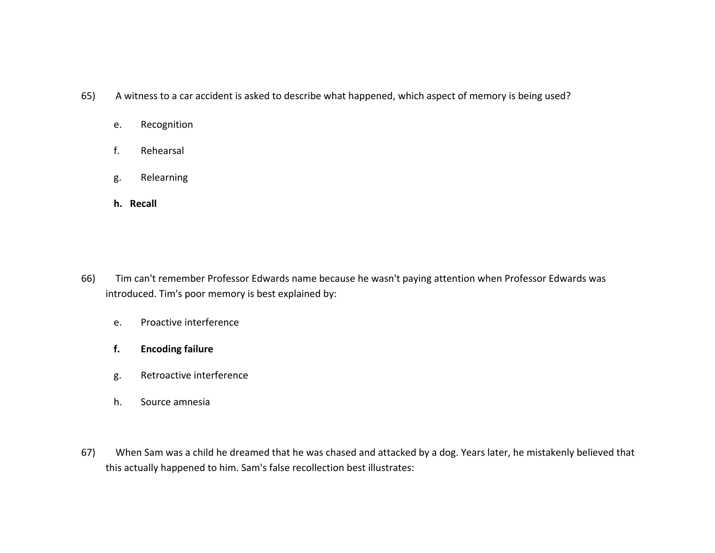- 65) A witness to <sup>a</sup> car accident is asked to describe what happened, which aspect of memory is being used?
	- e.Recognition
	- f.Rehearsal
	- g. Relearning
	- **h. Recall**

- 66) Tim can't remember Professor Edwards name because he wasn't paying attention when Professor Edwards was introduced. Tim's poor memory is best explained by:
	- e.Proactive interference
	- **f.Encoding failure**
	- g. Retroactive interference
	- h.. Source amnesia
- 67) When Sam was <sup>a</sup> child he dreamed that he was chased and attacked by <sup>a</sup> dog. Years later, he mistakenly believed that this actually happened to him. Sam's false recollection best illustrates: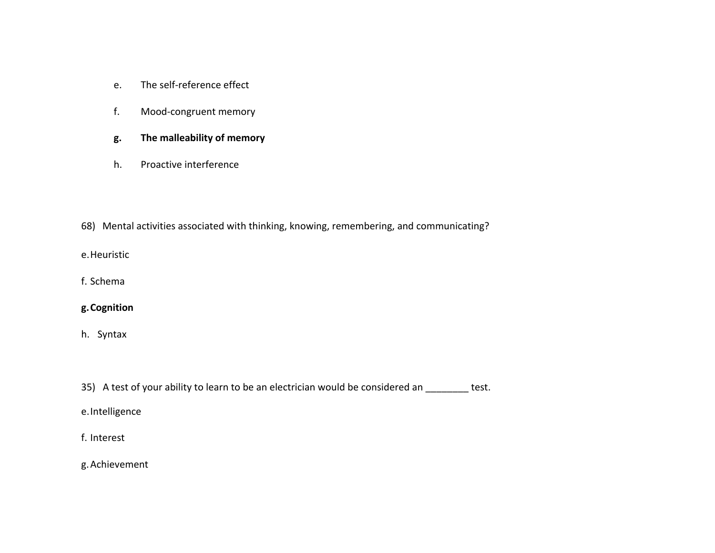- e.The self‐reference effect
- f.Mood‐congruent memory
- **g. The malleability of memory**
- h.. Proactive interference
- 68) Mental activities associated with thinking, knowing, remembering, and communicating?
- e.Heuristic
- f. Schema

## **g.Cognition**

- h. Syntax
- 35) A test of your ability to learn to be an electrician would be considered an \_\_\_\_\_\_\_\_ test.
- e.Intelligence
- f. Interest
- g.Achievement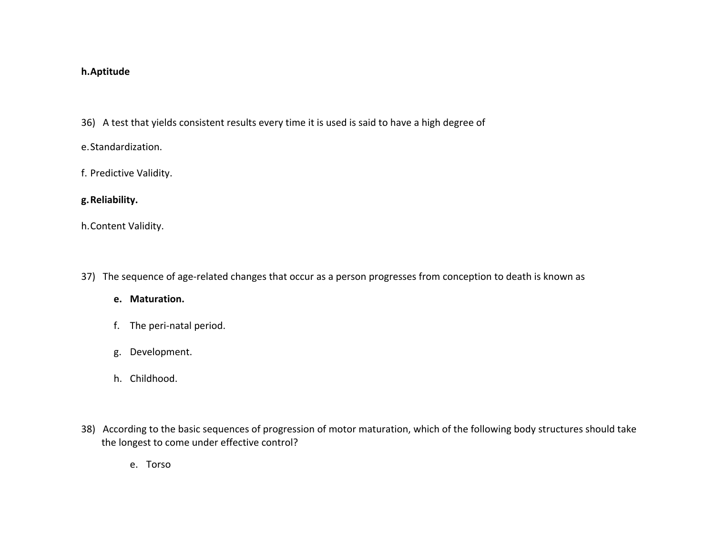## **h.Aptitude**

- 36) A test that yields consistent results every time it is used is said to have <sup>a</sup> high degree of
- e.Standardization.
- f. Predictive Validity.

## **g.Reliability.**

h.Content Validity.

37) The sequence of age-related changes that occur as a person progresses from conception to death is known as

#### **e. Maturation.**

- f. The peri‐natal period.
- g. Development.
- h. Childhood.
- 38) According to the basic sequences of progression of motor maturation, which of the following body structures should take the longest to come under effective control?
	- e. Torso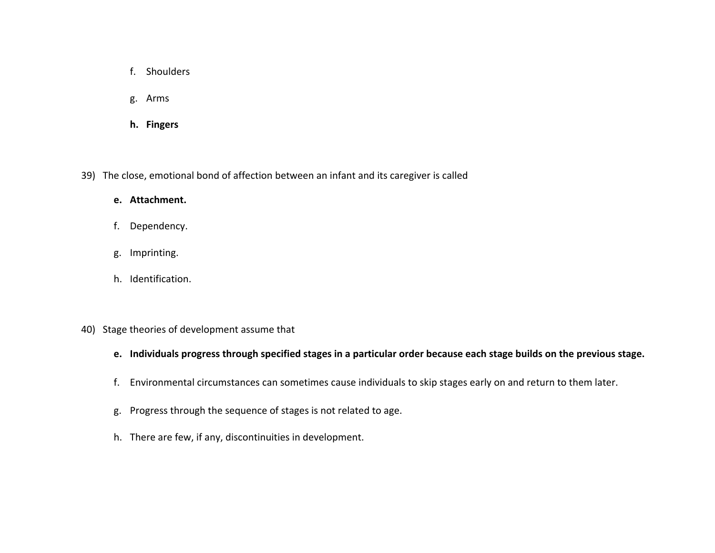- f. Shoulders
- g. Arms
- **h. Fingers**

39) The close, emotional bond of affection between an infant and its caregiver is called

#### **e. Attachment.**

- f. Dependency.
- g. Imprinting.
- h. Identification.
- 40) Stage theories of development assume that
	- e. Individuals progress through specified stages in a particular order because each stage builds on the previous stage.
	- f. Environmental circumstances can sometimes cause individuals to skip stages early on and return to them later.
	- g. Progress through the sequence of stages is not related to age.
	- h. There are few, if any, discontinuities in development.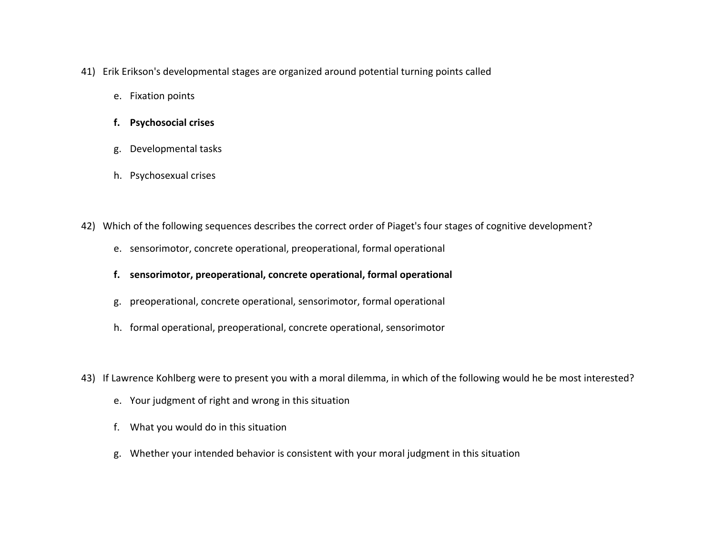- 41) Erik Erikson's developmental stages are organized around potential turning points called
	- e. Fixation points
	- **f. Psychosocial crises**
	- g. Developmental tasks
	- h. Psychosexual crises
- 42) Which of the following sequences describes the correct order of Piaget's four stages of cognitive development?
	- e. sensorimotor, concrete operational, preoperational, formal operational
	- **f. sensorimotor, preoperational, concrete operational, formal operational**
	- g. preoperational, concrete operational, sensorimotor, formal operational
	- h. formal operational, preoperational, concrete operational, sensorimotor
- 43) If Lawrence Kohlberg were to present you with <sup>a</sup> moral dilemma, in which of the following would he be most interested?
	- e. Your judgment of right and wrong in this situation
	- f. What you would do in this situation
	- g. Whether your intended behavior is consistent with your moral judgment in this situation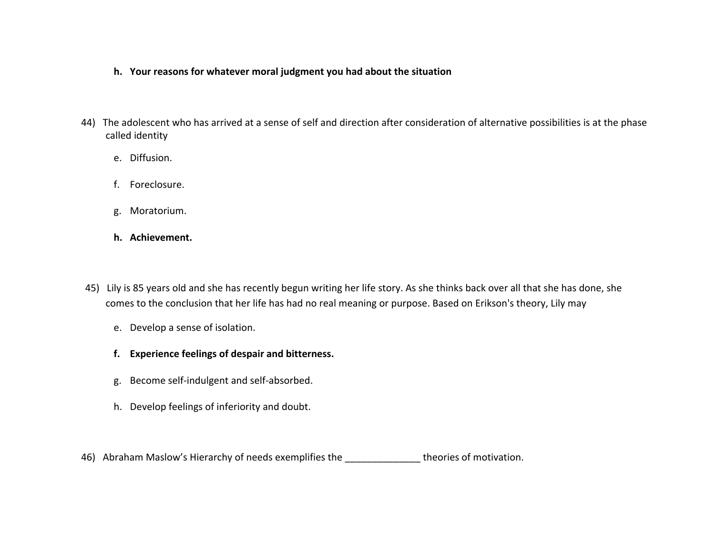- **h. Your reasons for whatever moral judgment you had about the situation**
- 44) The adolescent who has arrived at <sup>a</sup> sense of self and direction after consideration of alternative possibilities is at the phase called identity
	- e. Diffusion.
	- f. Foreclosure.
	- g. Moratorium.
	- **h. Achievement.**
- 45) Lily is 85 years old and she has recently begun writing her life story. As she thinks back over all that she has done, she comes to the conclusion that her life has had no real meaning or purpose. Based on Erikson's theory, Lily may
	- e. Develop <sup>a</sup> sense of isolation.
	- **f. Experience feelings of despair and bitterness.**
	- g. Become self‐indulgent and self‐absorbed.
	- h. Develop feelings of inferiority and doubt.
- 46) Abraham Maslow's Hierarchy of needs exemplifies the \_\_\_\_\_\_\_\_\_\_\_\_\_\_\_\_\_\_theories of motivation.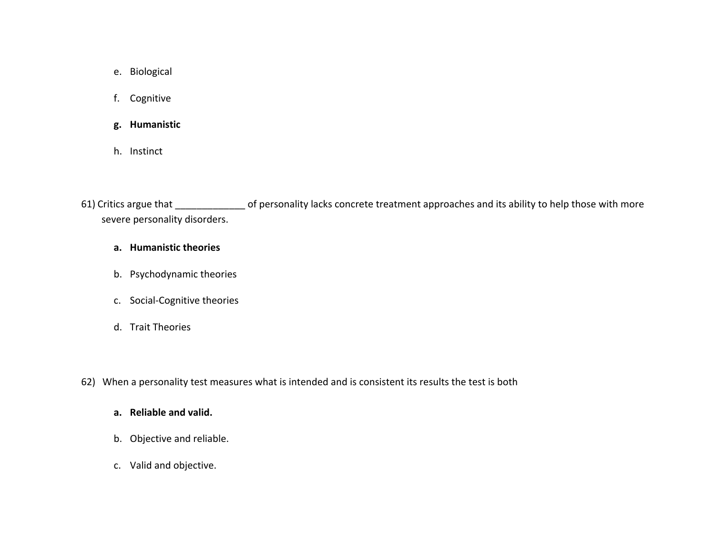- e. Biological
- f. Cognitive
- **g. Humanistic**
- h. Instinct

61) Critics argue that \_\_\_\_\_\_\_\_\_\_\_\_\_ of personality lacks concrete treatment approaches and its ability to help those with more severe personality disorders.

#### **a. Humanistic theories**

- b. Psychodynamic theories
- c. Social‐Cognitive theories
- d. Trait Theories
- 62) When <sup>a</sup> personality test measures what is intended and is consistent its results the test is both

#### **a. Reliable and valid.**

- b. Objective and reliable.
- c. Valid and objective.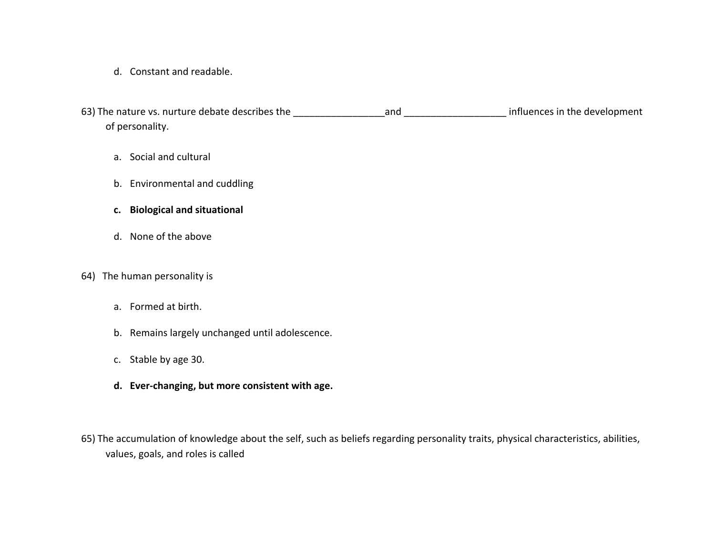d. Constant and readable.

63) The nature vs. nurture debate describes the \_\_\_\_\_\_\_\_\_\_\_\_\_\_\_\_\_and \_\_\_\_\_\_\_\_\_\_\_\_\_\_\_\_\_\_\_ influences in the development of personality.

- a. Social and cultural
- b. Environmental and cuddling
- **c. Biological and situational**
- d. None of the above

#### 64) The human personality is

- a. Formed at birth.
- b. Remains largely unchanged until adolescence.
- c. Stable by age 30.
- **d. Ever‐changing, but more consistent with age.**
- 65) The accumulation of knowledge about the self, such as beliefs regarding personality traits, physical characteristics, abilities, values, goals, and roles is called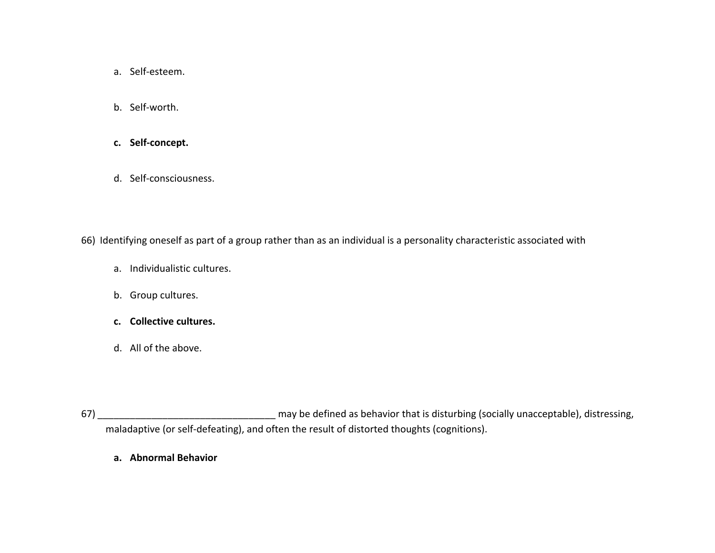- a. Self‐esteem.
- b. Self‐worth.
- **c. Self‐concept.**
- d. Self‐consciousness.

66) Identifying oneself as part of <sup>a</sup> group rather than as an individual is <sup>a</sup> personality characteristic associated with

- a. Individualistic cultures.
- b. Group cultures.
- **c. Collective cultures.**
- d. All of the above.

67) \_\_\_\_\_\_\_\_\_\_\_\_\_\_\_\_\_\_\_\_\_\_\_\_\_\_\_\_\_\_\_\_\_ may be defined as behavior that is disturbing (socially unacceptable), distressing, maladaptive (or self‐defeating), and often the result of distorted thoughts (cognitions).

**a. Abnormal Behavior**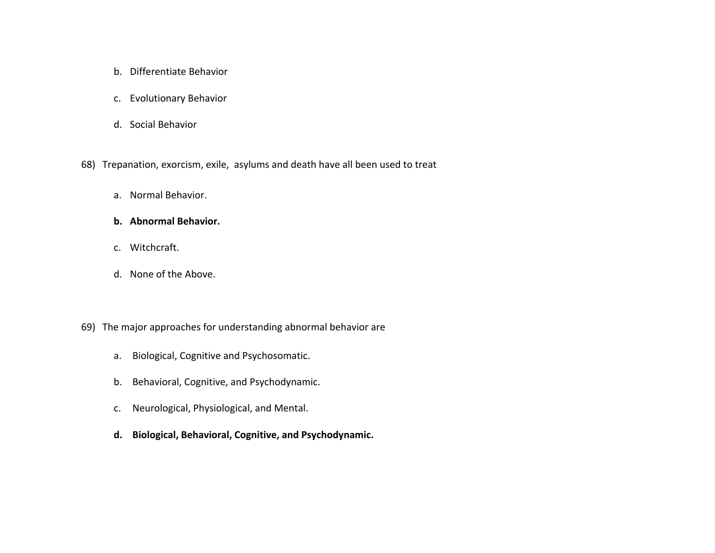- b. Differentiate Behavior
- c. Evolutionary Behavior
- d. Social Behavior
- 68) Trepanation, exorcism, exile, asylums and death have all been used to treat
	- a. Normal Behavior.
	- **b. Abnormal Behavior.**
	- c. Witchcraft.
	- d. None of the Above.
- 69) The major approaches for understanding abnormal behavior are
	- a. Biological, Cognitive and Psychosomatic.
	- b.Behavioral, Cognitive, and Psychodynamic.
	- c. Neurological, Physiological, and Mental.
	- **d. Biological, Behavioral, Cognitive, and Psychodynamic.**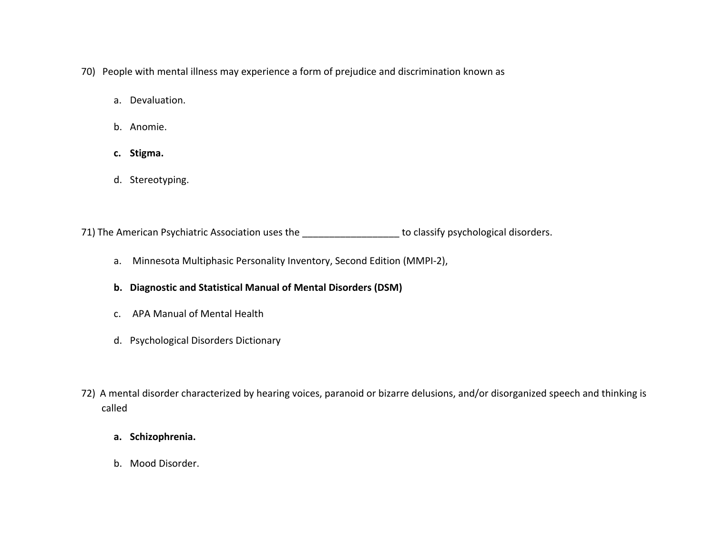- 70) People with mental illness may experience <sup>a</sup> form of prejudice and discrimination known as
	- a. Devaluation.
	- b. Anomie.
	- **c. Stigma.**
	- d. Stereotyping.

71) The American Psychiatric Association uses the **with the last of the contract of the America**n disorders.

- a. Minnesota Multiphasic Personality Inventory, Second Edition (MMPI‐2),
- **b. Diagnostic and Statistical Manual of Mental Disorders (DSM)**
- c. APA Manual of Mental Health
- d. Psychological Disorders Dictionary
- 72) A mental disorder characterized by hearing voices, paranoid or bizarre delusions, and/or disorganized speech and thinking is called
	- **a. Schizophrenia.**
	- b. Mood Disorder.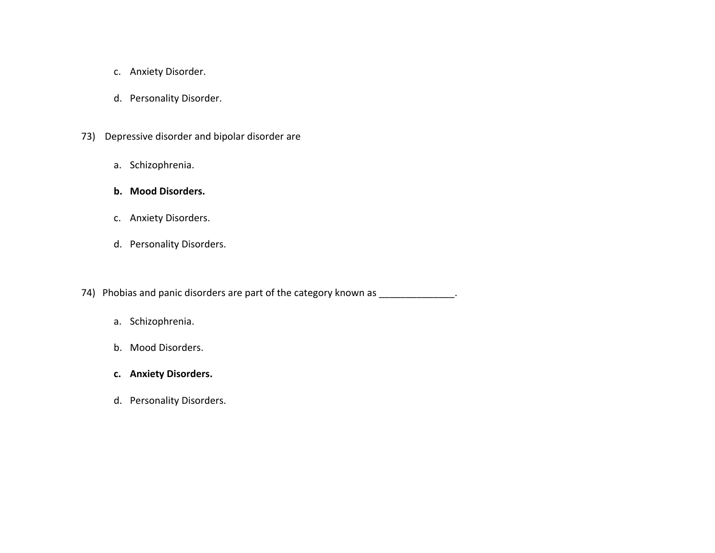- c. Anxiety Disorder.
- d. Personality Disorder.
- 73) Depressive disorder and bipolar disorder are
	- a. Schizophrenia.
	- **b. Mood Disorders.**
	- c. Anxiety Disorders.
	- d. Personality Disorders.

74) Phobias and panic disorders are part of the category known as \_\_\_\_\_\_\_\_\_\_\_\_\_\_.

- a. Schizophrenia.
- b. Mood Disorders.
- **c. Anxiety Disorders.**
- d. Personality Disorders.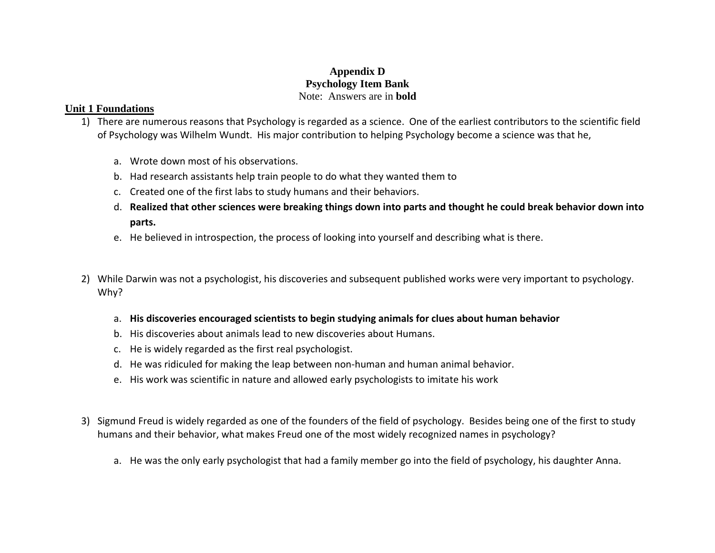## **Appendix D Psychology Item Bank**  Note: Answers are in **bold**

#### **Unit 1 Foundations**

- 1) There are numerous reasons that Psychology is regarded as <sup>a</sup> science. One of the earliest contributors to the scientific field of Psychology was Wilhelm Wundt. His major contribution to helping Psychology become <sup>a</sup> science was that he,
	- a. Wrote down most of his observations.
	- b. Had research assistants help train people to do what they wanted them to
	- c. Created one of the first labs to study humans and their behaviors.
	- <code>d. Realized</code> that other sciences were breaking things down into parts and thought he could break behavior down into **parts.**
	- e. He believed in introspection, the process of looking into yourself and describing what is there.
- 2) While Darwin was not <sup>a</sup> psychologist, his discoveries and subsequent published works were very important to psychology. Why?
	- a. **His discoveries encouraged scientists to begin studying animals for clues about human behavior**
	- b. His discoveries about animals lead to new discoveries about Humans.
	- c. He is widely regarded as the first real psychologist.
	- d. He was ridiculed for making the leap between non‐human and human animal behavior.
	- e. His work was scientific in nature and allowed early psychologists to imitate his work
- 3) Sigmund Freud is widely regarded as one of the founders of the field of psychology. Besides being one of the first to study humans and their behavior, what makes Freud one of the most widely recognized names in psychology?
	- a. He was the only early psychologist that had <sup>a</sup> family member go into the field of psychology, his daughter Anna.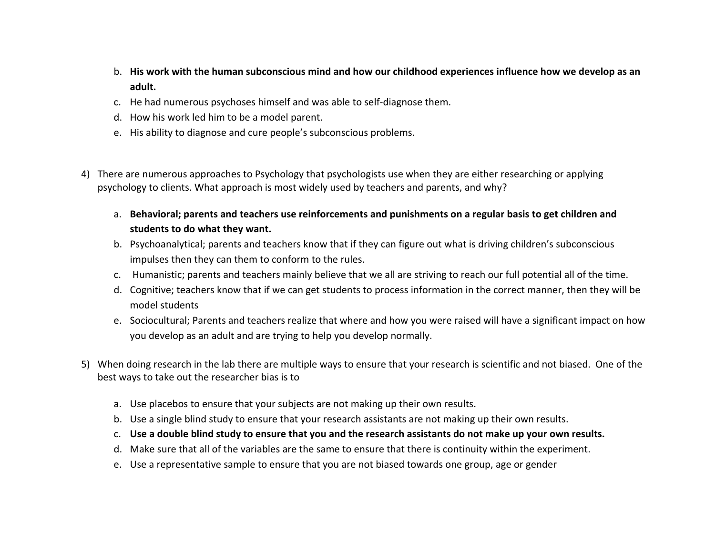- b. His work with the human subconscious mind and how our childhood experiences influence how we develop as an **adult.**
- c. He had numerous psychoses himself and was able to self‐diagnose them.
- d. How his work led him to be <sup>a</sup> model parent.
- e. His ability to diagnose and cure people's subconscious problems.
- 4) There are numerous approaches to Psychology that psychologists use when they are either researching or applying psychology to clients. What approach is most widely used by teachers and parents, and why?
	- a. **Behavioral; parents and teachers use reinforcements and punishments on <sup>a</sup> regular basis to get children and students to do what they want.**
	- b. Psychoanalytical; parents and teachers know that if they can figure out what is driving children's subconscious impulses then they can them to conform to the rules.
	- c. Humanistic; parents and teachers mainly believe that we all are striving to reach our full potential all of the time.
	- d. Cognitive; teachers know that if we can get students to process information in the correct manner, then they will be model students
	- e. Sociocultural; Parents and teachers realize that where and how you were raised will have <sup>a</sup> significant impact on how you develop as an adult and are trying to help you develop normally.
- 5) When doing research in the lab there are multiple ways to ensure that your research is scientific and not biased. One of the best ways to take out the researcher bias is to
	- a. Use placebos to ensure that your subjects are not making up their own results.
	- b. Use <sup>a</sup> single blind study to ensure that your research assistants are not making up their own results.
	- c. Use a double blind study to ensure that you and the research assistants do not make up your own results.
	- d. Make sure that all of the variables are the same to ensure that there is continuity within the experiment.
	- e. Use <sup>a</sup> representative sample to ensure that you are not biased towards one group, age or gender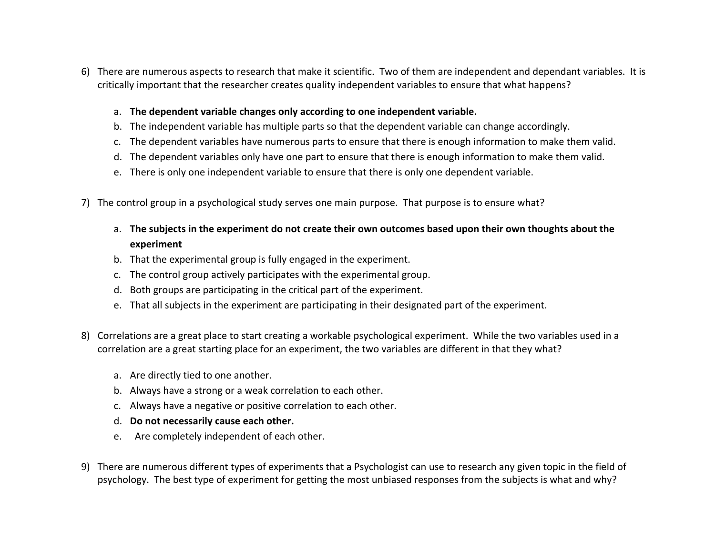- 6) There are numerous aspects to research that make it scientific. Two of them are independent and dependant variables. It is critically important that the researcher creates quality independent variables to ensure that what happens?
	- a. **The dependent variable changes only according to one independent variable.**
	- b. The independent variable has multiple parts so that the dependent variable can change accordingly.
	- c. The dependent variables have numerous parts to ensure that there is enough information to make them valid.
	- d. The dependent variables only have one part to ensure that there is enough information to make them valid.
	- e. There is only one independent variable to ensure that there is only one dependent variable.
- 7) The control group in <sup>a</sup> psychological study serves one main purpose. That purpose is to ensure what?
	- a. The subjects in the experiment do not create their own outcomes based upon their own thoughts about the **experiment**
	- b. That the experimental group is fully engaged in the experiment.
	- c. The control group actively participates with the experimental group.
	- d. Both groups are participating in the critical part of the experiment.
	- e. That all subjects in the experiment are participating in their designated part of the experiment.
- 8) Correlations are <sup>a</sup> great place to start creating <sup>a</sup> workable psychological experiment. While the two variables used in <sup>a</sup> correlation are <sup>a</sup> great starting place for an experiment, the two variables are different in that they what?
	- a. Are directly tied to one another.
	- b. Always have <sup>a</sup> strong or <sup>a</sup> weak correlation to each other.
	- c. Always have <sup>a</sup> negative or positive correlation to each other.
	- d. **Do not necessarily cause each other.**
	- e. Are completely independent of each other.
- 9) There are numerous different types of experiments that <sup>a</sup> Psychologist can use to research any given topic in the field of psychology. The best type of experiment for getting the most unbiased responses from the subjects is what and why?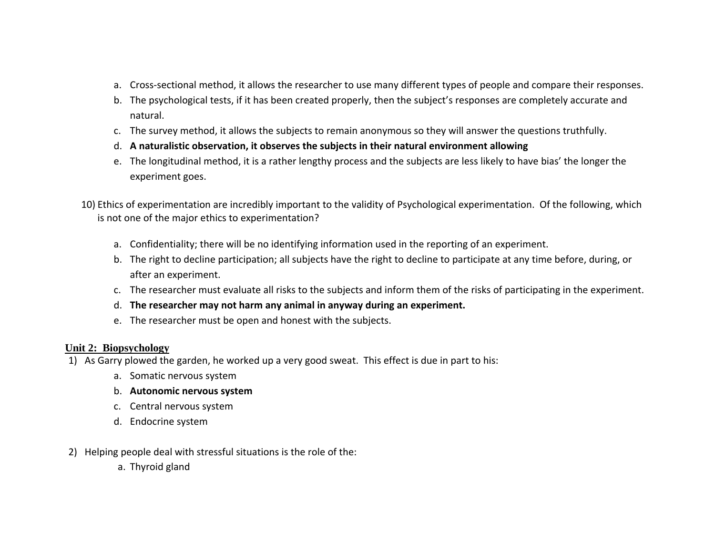- a. Cross‐sectional method, it allows the researcher to use many different types of people and compare their responses.
- b. The psychological tests, if it has been created properly, then the subject's responses are completely accurate and natural.
- c. The survey method, it allows the subjects to remain anonymous so they will answer the questions truthfully.
- d. **A naturalistic observation, it observes the subjects in their natural environment allowing**
- e. The longitudinal method, it is <sup>a</sup> rather lengthy process and the subjects are less likely to have bias' the longer the experiment goes.
- 10) Ethics of experimentation are incredibly important to the validity of Psychological experimentation. Of the following, which is not one of the major ethics to experimentation?
	- a. Confidentiality; there will be no identifying information used in the reporting of an experiment.
	- b. The right to decline participation; all subjects have the right to decline to participate at any time before, during, or after an experiment.
	- c. The researcher must evaluate all risks to the subjects and inform them of the risks of participating in the experiment.
	- d. **The researcher may not harm any animal in anyway during an experiment.**
	- e. The researcher must be open and honest with the subjects.

#### **Unit 2: Biopsychology**

- 1) As Garry plowed the garden, he worked up <sup>a</sup> very good sweat. This effect is due in part to his:
	- a. Somatic nervous system
	- b. **Autonomic nervous system**
	- c. Central nervous system
	- d. Endocrine system
- 2) Helping people deal with stressful situations is the role of the:
	- a. Thyroid gland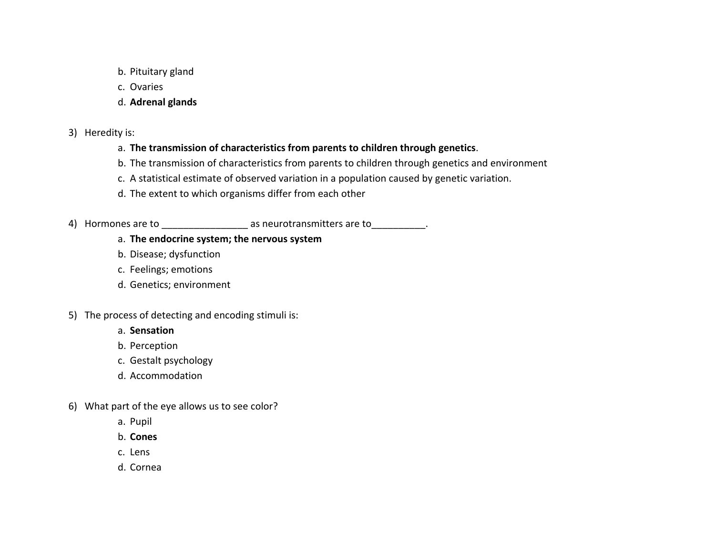- b. Pituitary gland
- c. Ovaries
- d. **Adrenal glands**
- 3) Heredity is:
	- a. **The transmission of characteristics from parents to children through genetics**.
	- b. The transmission of characteristics from parents to children through genetics and environment
	- c. A statistical estimate of observed variation in <sup>a</sup> population caused by genetic variation.
	- d. The extent to which organisms differ from each other
- 4) Hormones are to  $\overline{a}$  as neurotransmitters are to  $\overline{a}$ .

## a. **The endocrine system; the nervous system**

- b. Disease; dysfunction
- c. Feelings; emotions
- d. Genetics; environment
- 5) The process of detecting and encoding stimuli is:
	- a. **Sensation**
	- b. Perception
	- c. Gestalt psychology
	- d. Accommodation
- 6) What part of the eye allows us to see color?
	- a. Pupil
	- b. **Cones**
	- c. Lens
	- d. Cornea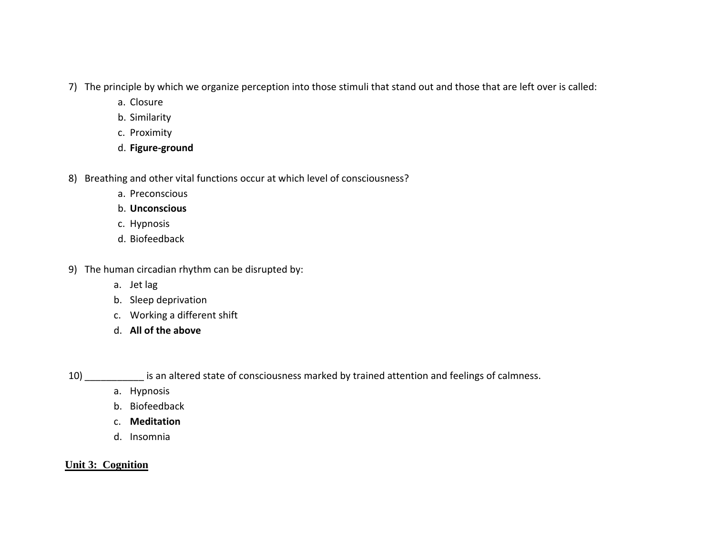- 7) The principle by which we organize perception into those stimuli that stand out and those that are left over is called:
	- a. Closure
	- b. Similarity
	- c. Proximity
	- d. **Figure‐ground**
- 8) Breathing and other vital functions occur at which level of consciousness?
	- a. Preconscious
	- b. **Unconscious**
	- c. Hypnosis
	- d. Biofeedback
- 9) The human circadian rhythm can be disrupted by:
	- a. Jet lag
	- b. Sleep deprivation
	- c. Working <sup>a</sup> different shift
	- d. **All of the above**
- 

10) \_\_\_\_\_\_\_\_\_\_\_ is an altered state of consciousness marked by trained attention and feelings of calmness.

- a. Hypnosis
- b. Biofeedback
- c. **Meditation**
- d. Insomnia

## **Unit 3: Cognition**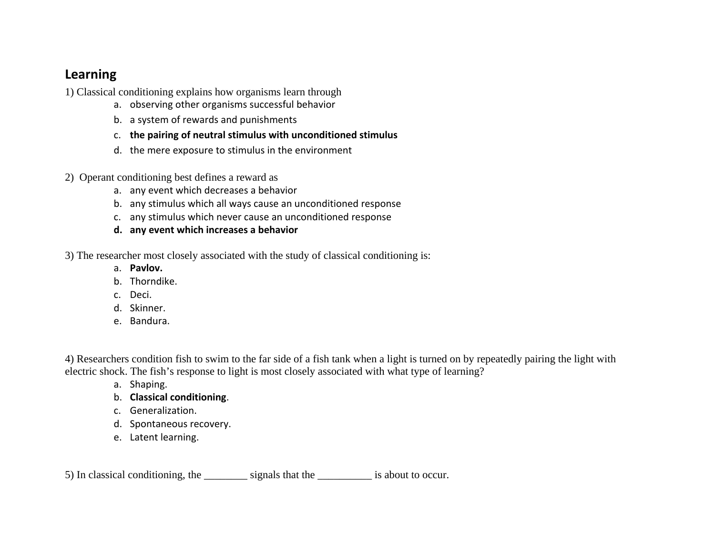## **Learning**

1) Classical conditioning explains how organisms learn through

- a. observing other organisms successful behavior
- b. a system of rewards and punishments
- c. **the pairing of neutral stimulus with unconditioned stimulus**
- d. the mere exposure to stimulus in the environment
- 2) Operant conditioning best defines a reward as
	- a. any event which decreases <sup>a</sup> behavior
	- b. any stimulus which all ways cause an unconditioned response
	- c. any stimulus which never cause an unconditioned response
	- **d. any event which increases <sup>a</sup> behavior**

3) The researcher most closely associated with the study of classical conditioning is:

- a. **Pavlov.**
- b. Thorndike.
- c. Deci.
- d. Skinner.
- e. Bandura.

4) Researchers condition fish to swim to the far side of a fish tank when a light is turned on by repeatedly pairing the light with electric shock. The fish's response to light is most closely associated with what type of learning?

- a. Shaping.
- b. **Classical conditioning**.
- c. Generalization.
- d. Spontaneous recovery.
- e. Latent learning.

5) In classical conditioning, the \_\_\_\_\_\_\_\_ signals that the \_\_\_\_\_\_\_\_\_\_ is about to occur.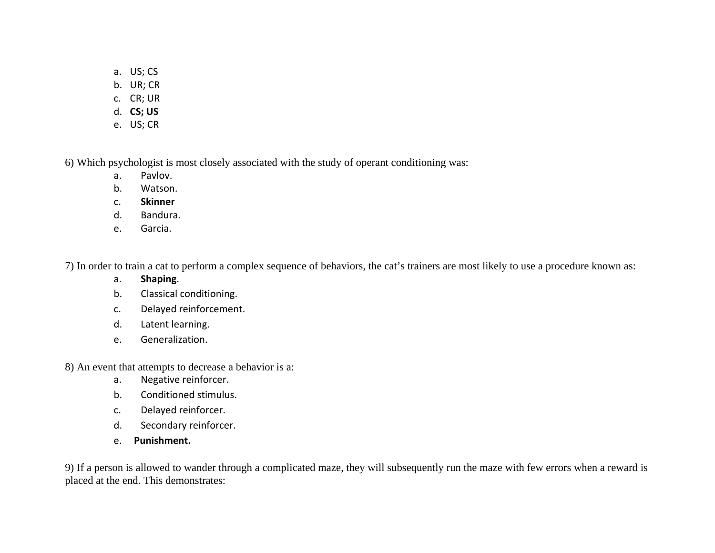- a. US; CS
- b. UR; CR
- c. CR; UR
- d. **CS; US**
- e. US; CR

6) Which psychologist is most closely associated with the study of operant conditioning was:

- a.Pavlov.
- b.Watson.
- c.**Skinner**
- d.Bandura.
- e.Garcia.

7) In order to train a cat to perform a complex sequence of behaviors, the cat's trainers are most likely to use a procedure known as:

- a.**Shaping**.
- b.Classical conditioning.
- c.Delayed reinforcement.
- d.Latent learning.
- e.Generalization.

8) An event that attempts to decrease a behavior is a:

- a.Negative reinforcer.
- b.Conditioned stimulus.
- c.Delayed reinforcer.
- d.Secondary reinforcer.
- e. **Punishment.**

9) If a person is allowed to wander through a complicated maze, they will subsequently run the maze with few errors when a reward is placed at the end. This demonstrates: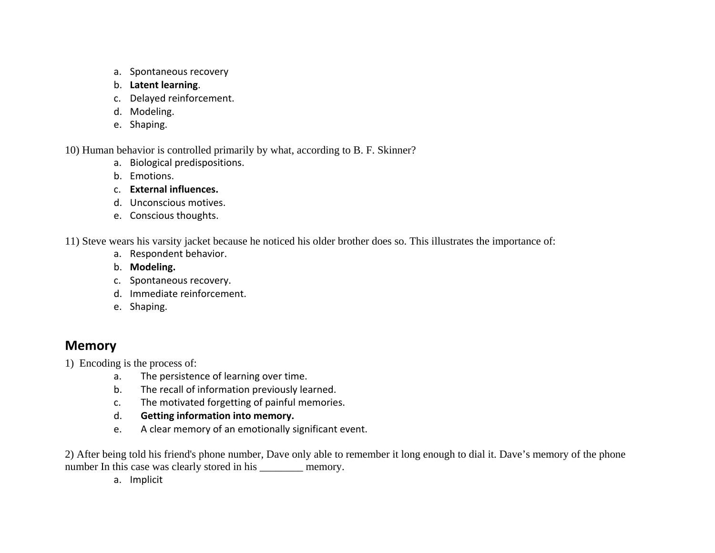- a. Spontaneous recovery
- b. **Latent learning**.
- c. Delayed reinforcement.
- d. Modeling.
- e. Shaping.

10) Human behavior is controlled primarily by what, according to B. F. Skinner?

- a. Biological predispositions.
- b. Emotions.
- c. **External influences.**
- d. Unconscious motives.
- e. Conscious thoughts.

11) Steve wears his varsity jacket because he noticed his older brother does so. This illustrates the importance of:

- a. Respondent behavior.
- b. **Modeling.**
- c. Spontaneous recovery.
- d. Immediate reinforcement.
- e. Shaping.

# **Memory**

- 1) Encoding is the process of:
	- a.The persistence of learning over time.
	- b.The recall of information previously learned.
	- c.The motivated forgetting of painful memories.
	- d.**Getting information into memory.**
	- e.A clear memory of an emotionally significant event.

2) After being told his friend's phone number, Dave only able to remember it long enough to dial it. Dave's memory of the phone number In this case was clearly stored in his \_\_\_\_\_\_\_\_ memory.

a. Implicit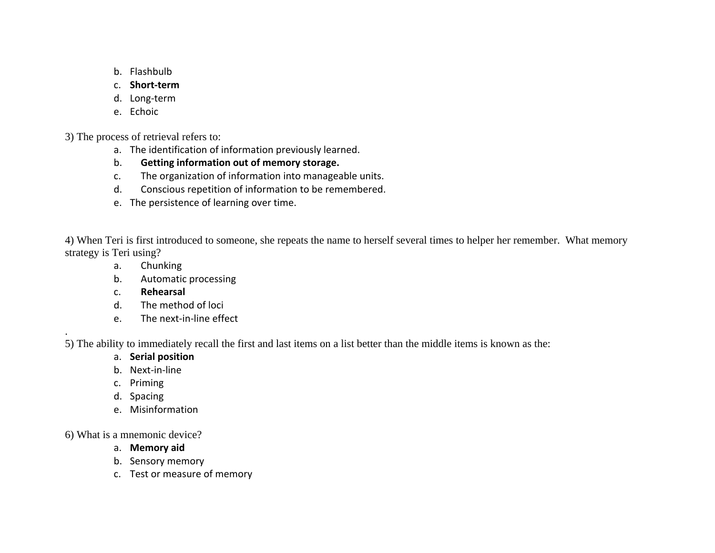- b. Flashbulb
- c. **Short‐term**
- d. Long‐term
- e. Echoic

3) The process of retrieval refers to:

- a. The identification of information previously learned.
- b.**Getting information out of memory storage.**
- c.The organization of information into manageable units.
- d.Conscious repetition of information to be remembered.
- e. The persistence of learning over time.

4) When Teri is first introduced to someone, she repeats the name to herself several times to helper her remember. What memory strategy is Teri using?

- a.Chunking
- b.Automatic processing
- c.**Rehearsal**
- d.The method of loci
- e.The next‐in‐line effect

5) The ability to immediately recall the first and last items on a list better than the middle items is known as the:

- a. **Serial position**
- b. Next‐in‐line
- c. Priming

.

- d. Spacing
- e. Misinformation

6) What is a mnemonic device?

- a. **Memory aid**
- b. Sensory memory
- c. Test or measure of memory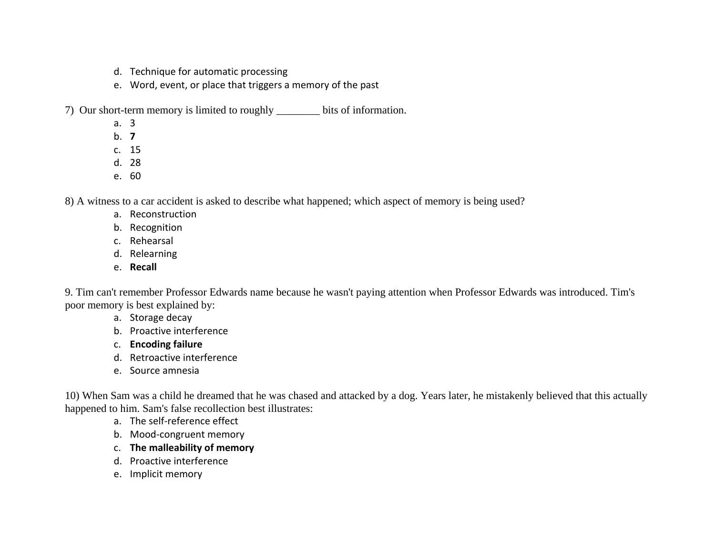- d. Technique for automatic processing
- e. Word, event, or place that triggers <sup>a</sup> memory of the past
- 7) Our short-term memory is limited to roughly \_\_\_\_\_\_\_\_ bits of information.
	- a. 3
	- b. **7**
	- c. 15
	- d. 28
	- e. 60

8) A witness to a car accident is asked to describe what happened; which aspect of memory is being used?

- a. Reconstruction
- b. Recognition
- c. Rehearsal
- d. Relearning
- e. **Recall**

9. Tim can't remember Professor Edwards name because he wasn't paying attention when Professor Edwards was introduced. Tim's poor memory is best explained by:

- a. Storage decay
- b. Proactive interference
- c. **Encoding failure**
- d. Retroactive interference
- e. Source amnesia

10) When Sam was a child he dreamed that he was chased and attacked by a dog. Years later, he mistakenly believed that this actually happened to him. Sam's false recollection best illustrates:

- a. The self‐reference effect
- b. Mood‐congruent memory
- c. **The malleability of memory**
- d. Proactive interference
- e. Implicit memory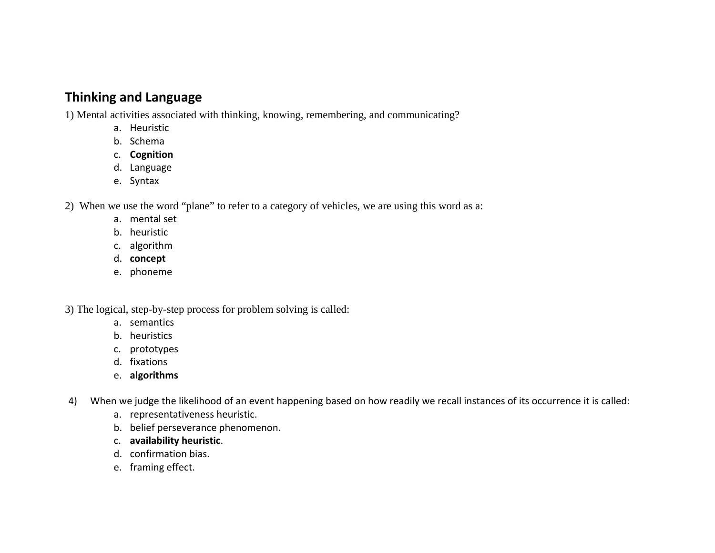# **Thinking and Language**

1) Mental activities associated with thinking, knowing, remembering, and communicating?

- a. Heuristic
- b. Schema
- c. **Cognition**
- d. Language
- e. Syntax

2) When we use the word "plane" to refer to a category of vehicles, we are using this word as a:

- a. mental set
- b. heuristic
- c. algorithm
- d. **concept**
- e. phoneme

3) The logical, step-by-step process for problem solving is called:

- a. semantics
- b. heuristics
- c. prototypes
- d. fixations
- e. **algorithms**
- 4) When we judge the likelihood of an event happening based on how readily we recall instances of its occurrence it is called:
	- a. representativeness heuristic.
	- b. belief perseverance phenomenon.
	- c. **availability heuristic**.
	- d. confirmation bias.
	- e. framing effect.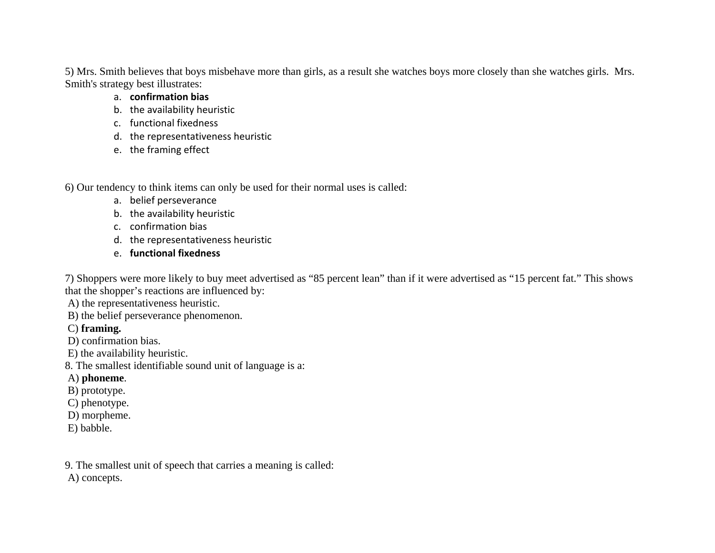5) Mrs. Smith believes that boys misbehave more than girls, as a result she watches boys more closely than she watches girls. Mrs. Smith's strategy best illustrates:

- a. **confirmation bias**
- b. the availability heuristic
- c. functional fixedness
- d. the representativeness heuristic
- e. the framing effect

6) Our tendency to think items can only be used for their normal uses is called:

- a. belief perseverance
- b. the availability heuristic
- c. confirmation bias
- d. the representativeness heuristic
- e. **functional fixedness**

7) Shoppers were more likely to buy meet advertised as "85 percent lean" than if it were advertised as "15 percent fat." This shows that the shopper's reactions are influenced by:

A) the representativeness heuristic.

B) the belief perseverance phenomenon.

C) **framing.**

- D) confirmation bias.
- E) the availability heuristic.

8. The smallest identifiable sound unit of language is a:

- A) **phoneme**.
- B) prototype.
- C) phenotype.
- D) morpheme.
- E) babble.

9. The smallest unit of speech that carries a meaning is called: A) concepts.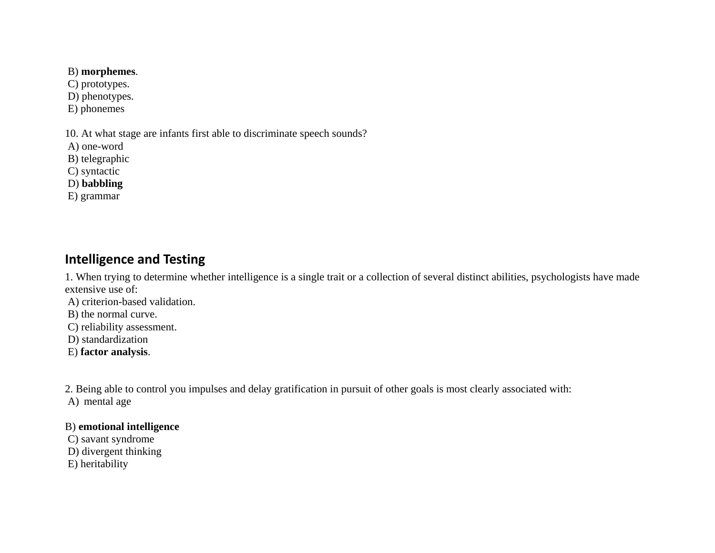## B) **morphemes**.

C) prototypes.

D) phenotypes.

E) phonemes

10. At what stage are infants first able to discriminate speech sounds?

A) one-word

B) telegraphic

C) syntactic

D) **babbling**

E) grammar

# **Intelligence and Testing**

1. When trying to determine whether intelligence is a single trait or a collection of several distinct abilities, psychologists have made extensive use of:

A) criterion-based validation.

B) the normal curve.

C) reliability assessment.

D) standardization

E) **factor analysis**.

2. Being able to control you impulses and delay gratification in pursuit of other goals is most clearly associated with:

A) mental age

### B) **emotional intelligence**

 C) savant syndrome D) divergent thinking

E) heritability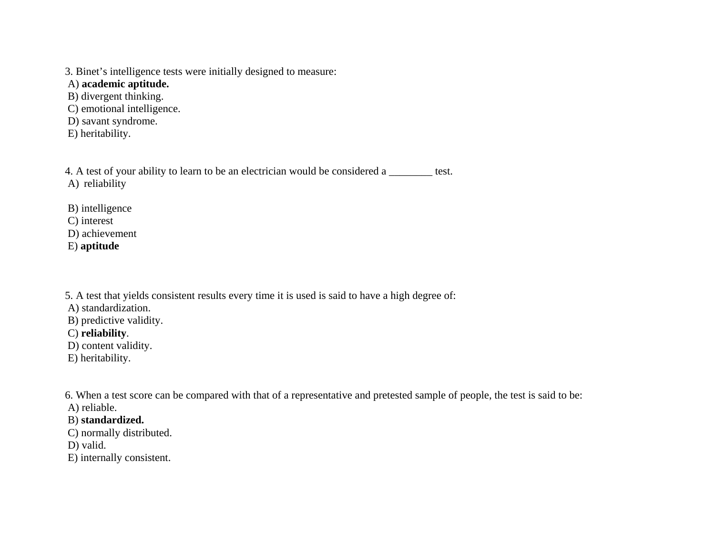3. Binet's intelligence tests were initially designed to measure:

A) **academic aptitude.**

B) divergent thinking.

C) emotional intelligence.

D) savant syndrome.

E) heritability.

4. A test of your ability to learn to be an electrician would be considered a \_\_\_\_\_\_\_\_ test. A) reliability

B) intelligence

C) interest

D) achievement

E) **aptitude**

5. A test that yields consistent results every time it is used is said to have a high degree of:

A) standardization.

B) predictive validity.

C) **reliability**.

D) content validity.

E) heritability.

6. When a test score can be compared with that of a representative and pretested sample of people, the test is said to be:

A) reliable.

## B) **standardized.**

C) normally distributed.

D) valid.

E) internally consistent.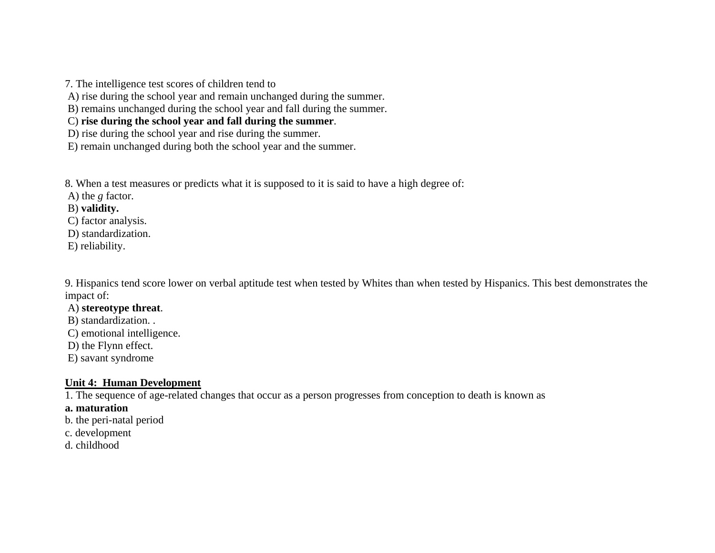7. The intelligence test scores of children tend to

A) rise during the school year and remain unchanged during the summer.

B) remains unchanged during the school year and fall during the summer.

C) **rise during the school year and fall during the summer**.

D) rise during the school year and rise during the summer.

E) remain unchanged during both the school year and the summer.

8. When a test measures or predicts what it is supposed to it is said to have a high degree of:

A) the *g* factor.

B) **validity.**

C) factor analysis.

D) standardization.

E) reliability.

9. Hispanics tend score lower on verbal aptitude test when tested by Whites than when tested by Hispanics. This best demonstrates the impact of:

### A) **stereotype threat**.

B) standardization. .

C) emotional intelligence.

D) the Flynn effect.

E) savant syndrome

#### **Unit 4: Human Development**

1. The sequence of age-related changes that occur as a person progresses from conception to death is known as

- **a. maturation**
- b. the peri-natal period
- c. development
- d. childhood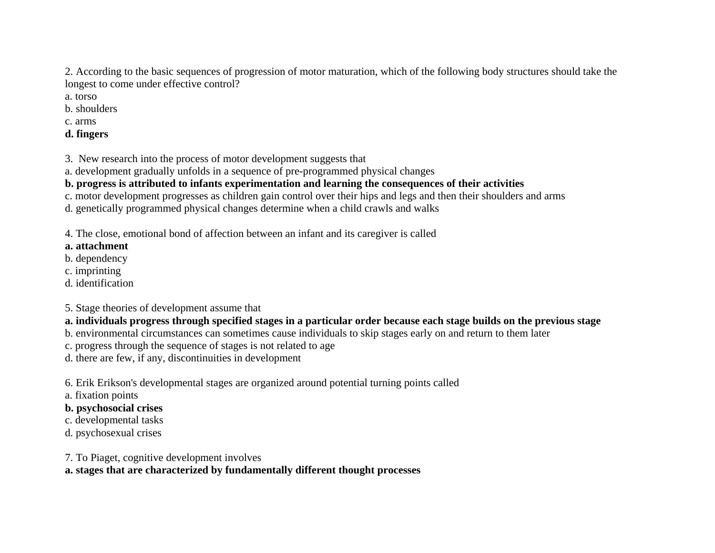2. According to the basic sequences of progression of motor maturation, which of the following body structures should take the longest to come under effective control?

- a. torso
- b. shoulders
- c. arms
- **d. fingers**

3. New research into the process of motor development suggests that

a. development gradually unfolds in a sequence of pre-programmed physical changes

# **b. progress is attributed to infants experimentation and learning the consequences of their activities**

c. motor development progresses as children gain control over their hips and legs and then their shoulders and arms

d. genetically programmed physical changes determine when a child crawls and walks

4. The close, emotional bond of affection between an infant and its caregiver is called

# **a. attachment**

- b. dependency
- c. imprinting
- d. identification

5. Stage theories of development assume that

# **a. individuals progress through specified stages in a particular order because each stage builds on the previous stage**

- b. environmental circumstances can sometimes cause individuals to skip stages early on and return to them later
- c. progress through the sequence of stages is not related to age

d. there are few, if any, discontinuities in development

6. Erik Erikson's developmental stages are organized around potential turning points called

a. fixation points

# **b. psychosocial crises**

- c. developmental tasks
- d. psychosexual crises
- 7. To Piaget, cognitive development involves

**a. stages that are characterized by fundamentally different thought processes**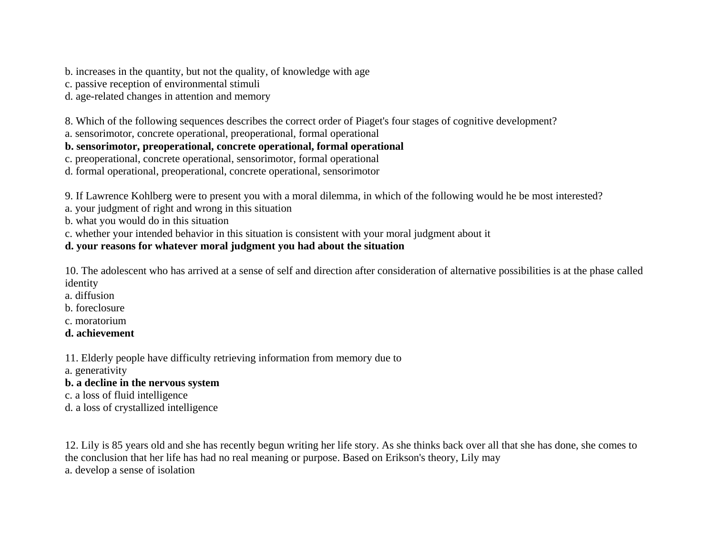b. increases in the quantity, but not the quality, of knowledge with age

c. passive reception of environmental stimuli

d. age-related changes in attention and memory

8. Which of the following sequences describes the correct order of Piaget's four stages of cognitive development?

a. sensorimotor, concrete operational, preoperational, formal operational

**b. sensorimotor, preoperational, concrete operational, formal operational** 

c. preoperational, concrete operational, sensorimotor, formal operational

d. formal operational, preoperational, concrete operational, sensorimotor

9. If Lawrence Kohlberg were to present you with a moral dilemma, in which of the following would he be most interested?

a. your judgment of right and wrong in this situation

b. what you would do in this situation

c. whether your intended behavior in this situation is consistent with your moral judgment about it

# **d. your reasons for whatever moral judgment you had about the situation**

10. The adolescent who has arrived at a sense of self and direction after consideration of alternative possibilities is at the phase called identity

- a. diffusion
- b. foreclosure
- c. moratorium
- **d. achievement**

11. Elderly people have difficulty retrieving information from memory due to

- a. generativity
- **b. a decline in the nervous system**
- c. a loss of fluid intelligence
- d. a loss of crystallized intelligence

12. Lily is 85 years old and she has recently begun writing her life story. As she thinks back over all that she has done, she comes to the conclusion that her life has had no real meaning or purpose. Based on Erikson's theory, Lily may a. develop a sense of isolation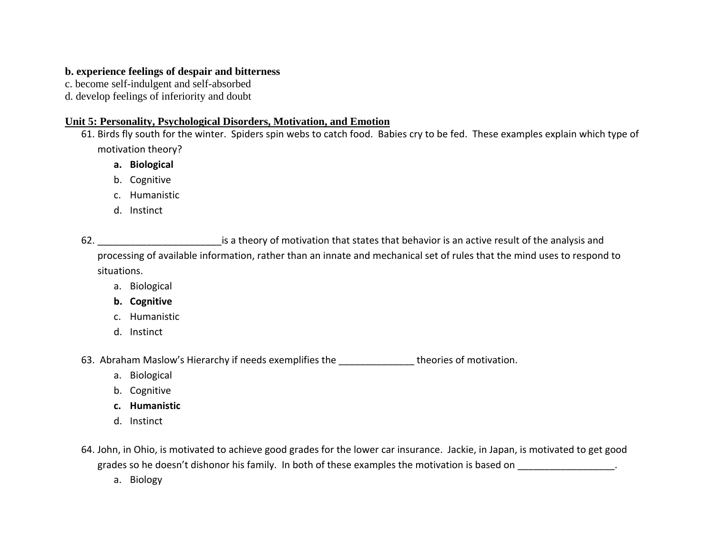### **b. experience feelings of despair and bitterness**

c. become self-indulgent and self-absorbed

d. develop feelings of inferiority and doubt

### **Unit 5: Personality, Psychological Disorders, Motivation, and Emotion**

61. Birds fly south for the winter. Spiders spin webs to catch food. Babies cry to be fed. These examples explain which type of motivation theory?

**a. Biological**

b. Cognitive

c. Humanistic

d. Instinct

62. \_\_\_\_\_\_\_\_\_\_\_\_\_\_\_\_\_\_\_\_\_\_\_is <sup>a</sup> theory of motivation that states that behavior is an active result of the analysis and processing of available information, rather than an innate and mechanical set of rules that the mind uses to respond to situations.

- a. Biological
- **b. Cognitive**
- c. Humanistic
- d. Instinct

63. Abraham Maslow's Hierarchy if needs exemplifies the \_\_\_\_\_\_\_\_\_\_\_\_\_\_ theories of motivation.

- a. Biological
- b. Cognitive
- **c. Humanistic**
- d. Instinct

64. John, in Ohio, is motivated to achieve good grades for the lower car insurance. Jackie, in Japan, is motivated to get good grades so he doesn't dishonor his family. In both of these examples the motivation is based on  $\blacksquare$ 

a. Biology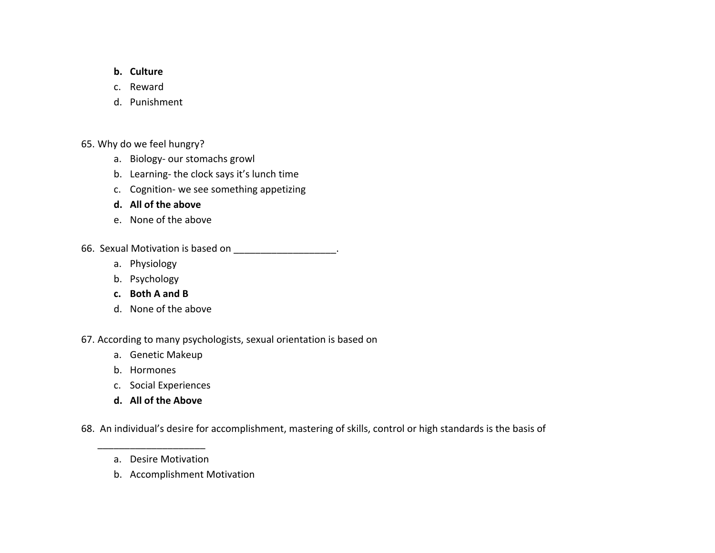#### **b. Culture**

- c. Reward
- d. Punishment

65. Why do we feel hungry?

- a. Biology‐ our stomachs growl
- b. Learning‐ the clock says it's lunch time
- c. Cognition‐ we see something appetizing
- **d. All of the above**
- e. None of the above
- 66. Sexual Motivation is based on \_\_\_\_\_\_\_\_\_\_\_\_\_\_\_\_\_\_\_\_.
	- a. Physiology
	- b. Psychology
	- **c. Both A and B**
	- d. None of the above

67. According to many psychologists, sexual orientation is based on

- a. Genetic Makeup
- b. Hormones
- c. Social Experiences
- **d. All of the Above**

68. An individual's desire for accomplishment, mastering of skills, control or high standards is the basis of

- a. Desire Motivation
- b. Accomplishment Motivation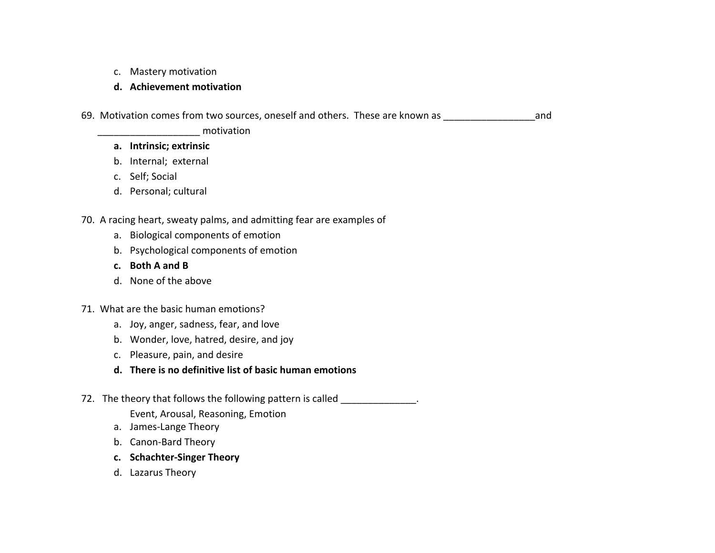c. Mastery motivation

#### **d. Achievement motivation**

69. Motivation comes from two sources, oneself and others. These are known as \_\_\_\_\_\_\_\_\_\_\_\_\_\_\_\_\_and

motivation

#### **a. Intrinsic; extrinsic**

- b. Internal; external
- c. Self; Social
- d. Personal; cultural

## 70. A racing heart, sweaty palms, and admitting fear are examples of

- a. Biological components of emotion
- b. Psychological components of emotion
- **c. Both A and B**
- d. None of the above
- 71. What are the basic human emotions?
	- a. Joy, anger, sadness, fear, and love
	- b. Wonder, love, hatred, desire, and joy
	- c. Pleasure, pain, and desire
	- **d. There is no definitive list of basic human emotions**
- 72. The theory that follows the following pattern is called \_\_\_\_\_\_\_\_\_\_\_\_\_\_\_.
	- Event, Arousal, Reasoning, Emotion
	- a. James‐Lange Theory
	- b. Canon‐Bard Theory
	- **c. Schachter‐Singer Theory**
	- d. Lazarus Theory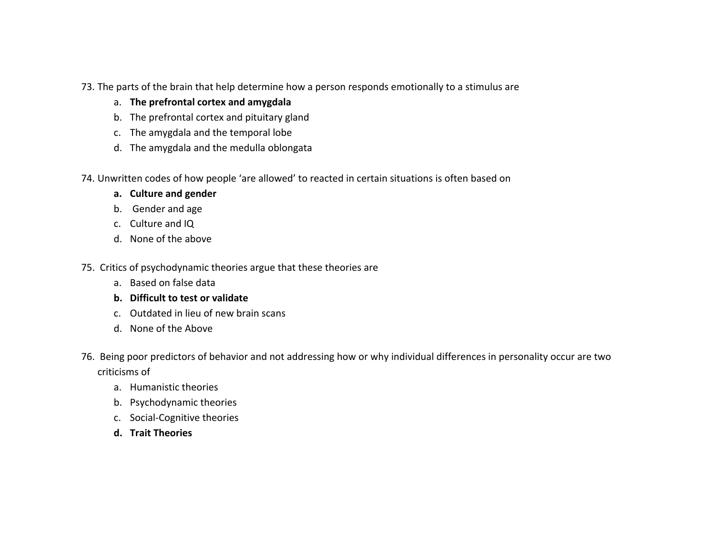- 73. The parts of the brain that help determine how <sup>a</sup> person responds emotionally to <sup>a</sup> stimulus are
	- a. **The prefrontal cortex and amygdala**
	- b. The prefrontal cortex and pituitary gland
	- c. The amygdala and the temporal lobe
	- d. The amygdala and the medulla oblongata
- 74. Unwritten codes of how people 'are allowed' to reacted in certain situations is often based on
	- **a. Culture and gender**
	- b. Gender and age
	- c. Culture and IQ
	- d. None of the above
- 75. Critics of psychodynamic theories argue that these theories are
	- a. Based on false data
	- **b. Difficult to test or validate**
	- c. Outdated in lieu of new brain scans
	- d. None of the Above
- 76. Being poor predictors of behavior and not addressing how or why individual differences in personality occur are two criticisms of
	- a. Humanistic theories
	- b. Psychodynamic theories
	- c. Social‐Cognitive theories
	- **d. Trait Theories**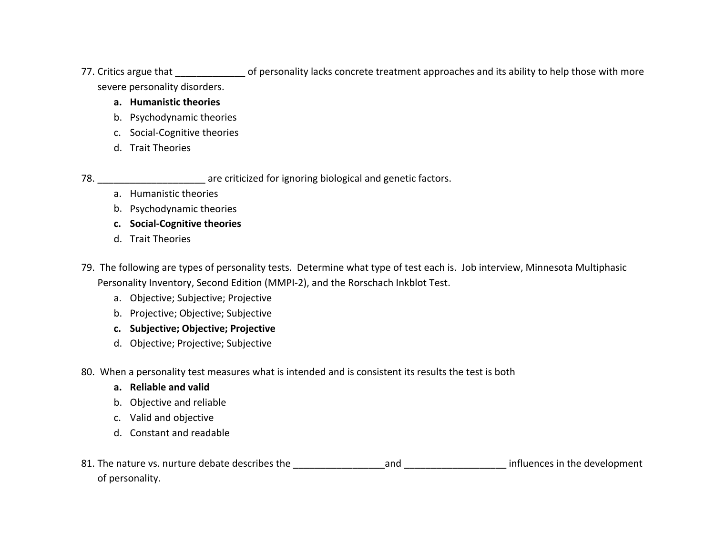77. Critics argue that \_\_\_\_\_\_\_\_\_\_\_\_\_ of personality lacks concrete treatment approaches and its ability to help those with more severe personality disorders.

#### **a. Humanistic theories**

- b. Psychodynamic theories
- c. Social‐Cognitive theories
- d. Trait Theories

78. \_\_\_\_\_\_\_\_\_\_\_\_\_\_\_\_\_\_\_\_ are criticized for ignoring biological and genetic factors.

- a. Humanistic theories
- b. Psychodynamic theories
- **c. Social‐Cognitive theories**
- d. Trait Theories
- 79. The following are types of personality tests. Determine what type of test each is. Job interview, Minnesota Multiphasic Personality Inventory, Second Edition (MMPI‐2), and the Rorschach Inkblot Test.
	- a. Objective; Subjective; Projective
	- b. Projective; Objective; Subjective
	- **c. Subjective; Objective; Projective**
	- d. Objective; Projective; Subjective

80. When <sup>a</sup> personality test measures what is intended and is consistent its results the test is both

- **a. Reliable and valid**
- b. Objective and reliable
- c. Valid and objective
- d. Constant and readable
- 81. The nature vs. nurture debate describes the \_\_\_\_\_\_\_\_\_\_\_\_\_\_\_\_\_and \_\_\_\_\_\_\_\_\_\_\_\_\_\_\_\_\_\_\_ influences in the development of personality.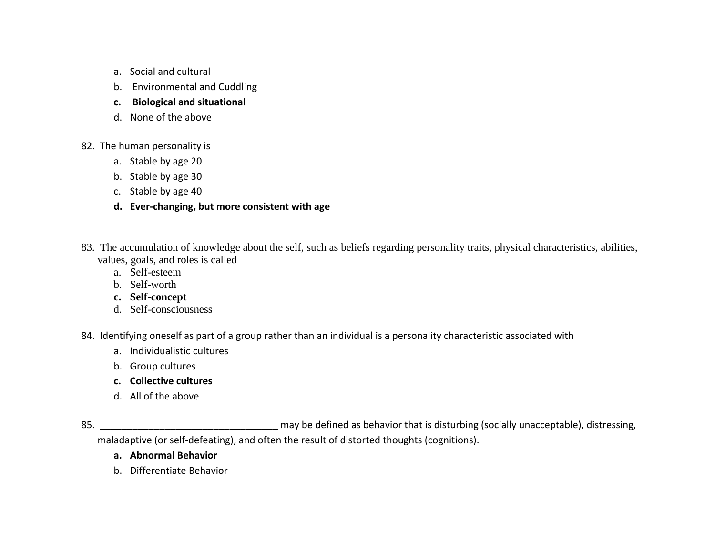- a. Social and cultural
- b. Environmental and Cuddling
- **c. Biological and situational**
- d. None of the above
- 82. The human personality is
	- a. Stable by age 20
	- b. Stable by age 30
	- c. Stable by age 40
	- **d. Ever‐changing, but more consistent with age**
- 83. The accumulation of knowledge about the self, such as beliefs regarding personality traits, physical characteristics, abilities, values, goals, and roles is called
	- a. Self-esteem
	- b. Self-worth
	- **c. Self-concept**
	- d. Self-consciousness
- 84. Identifying oneself as part of <sup>a</sup> group rather than an individual is <sup>a</sup> personality characteristic associated with
	- a. Individualistic cultures
	- b. Group cultures
	- **c. Collective cultures**
	- d. All of the above

85.**\_\_\_\_\_\_\_\_\_\_\_\_\_\_\_\_\_\_\_\_\_\_\_\_\_\_\_\_\_\_\_\_\_** may be defined as behavior that is disturbing (socially unacceptable), distressing, maladaptive (or self-defeating), and often the result of distorted thoughts (cognitions).

- **a. Abnormal Behavior**
- b. Differentiate Behavior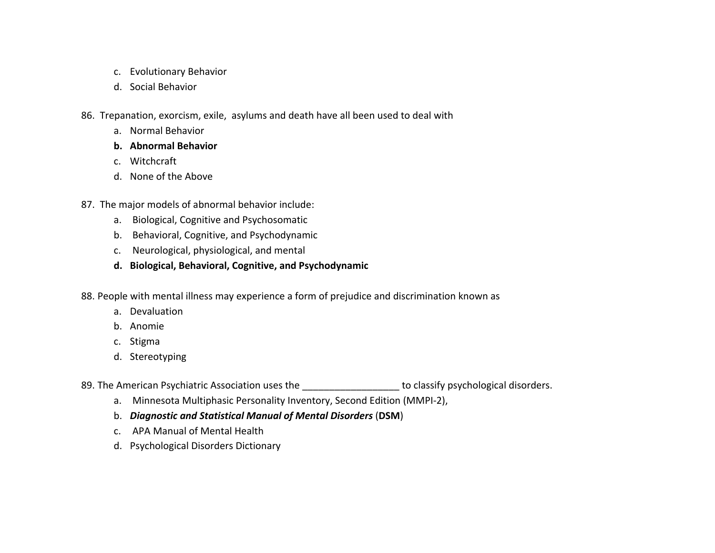- c. Evolutionary Behavior
- d. Social Behavior
- 86. Trepanation, exorcism, exile, asylums and death have all been used to deal with
	- a. Normal Behavior
	- **b. Abnormal Behavior**
	- c. Witchcraft
	- d. None of the Above
- 87. The major models of abnormal behavior include:
	- a. Biological, Cognitive and Psychosomatic
	- b. Behavioral, Cognitive, and Psychodynamic
	- c. Neurological, physiological, and mental
	- **d. Biological, Behavioral, Cognitive, and Psychodynamic**
- 88. People with mental illness may experience <sup>a</sup> form of prejudice and discrimination known as
	- a. Devaluation
	- b. Anomie
	- c. Stigma
	- d. Stereotyping
- 89. The American Psychiatric Association uses the \_\_\_\_\_\_\_\_\_\_\_\_\_\_\_\_\_\_ to classify psychological disorders.
	- a. Minnesota Multiphasic Personality Inventory, Second Edition (MMPI‐2),
	- b. *Diagnostic and Statistical Manual of Mental Disorders* (**DSM**)
	- c. APA Manual of Mental Health
	- d. Psychological Disorders Dictionary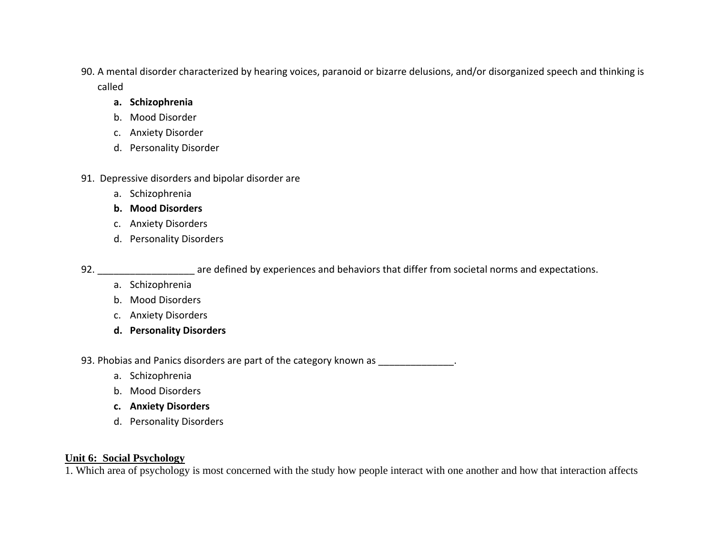90. A mental disorder characterized by hearing voices, paranoid or bizarre delusions, and/or disorganized speech and thinking is called

### **a. Schizophrenia**

- b. Mood Disorder
- c. Anxiety Disorder
- d. Personality Disorder
- 91. Depressive disorders and bipolar disorder are
	- a. Schizophrenia
	- **b. Mood Disorders**
	- c. Anxiety Disorders
	- d. Personality Disorders

92. \_\_\_\_\_\_\_\_\_\_\_\_\_\_\_\_\_\_ are defined by experiences and behaviors that differ from societal norms and expectations.

- a. Schizophrenia
- b. Mood Disorders
- c. Anxiety Disorders
- **d. Personality Disorders**

93. Phobias and Panics disorders are part of the category known as \_\_\_\_\_\_\_\_\_\_\_\_\_\_

- a. Schizophrenia
- b. Mood Disorders
- **c. Anxiety Disorders**
- d. Personality Disorders

### **Unit 6: Social Psychology**

1. Which area of psychology is most concerned with the study how people interact with one another and how that interaction affects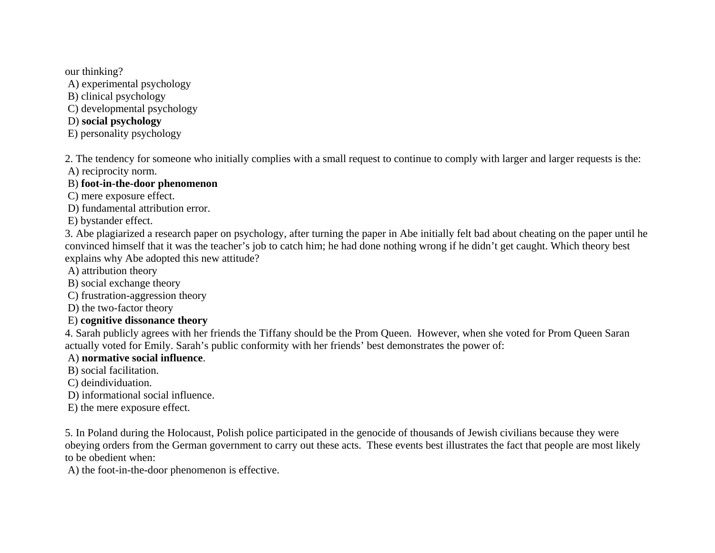our thinking?

A) experimental psychology

B) clinical psychology

C) developmental psychology

# D) **social psychology**

E) personality psychology

2. The tendency for someone who initially complies with a small request to continue to comply with larger and larger requests is the:

A) reciprocity norm.

### B) **foot-in-the-door phenomenon**

C) mere exposure effect.

D) fundamental attribution error.

E) bystander effect.

3. Abe plagiarized a research paper on psychology, after turning the paper in Abe initially felt bad about cheating on the paper until he convinced himself that it was the teacher's job to catch him; he had done nothing wrong if he didn't get caught. Which theory best explains why Abe adopted this new attitude?

A) attribution theory

B) social exchange theory

C) frustration-aggression theory

D) the two-factor theory

# E) **cognitive dissonance theory**

4. Sarah publicly agrees with her friends the Tiffany should be the Prom Queen. However, when she voted for Prom Queen Saran actually voted for Emily. Sarah's public conformity with her friends' best demonstrates the power of:

# A) **normative social influence**.

B) social facilitation.

C) deindividuation.

D) informational social influence.

E) the mere exposure effect.

5. In Poland during the Holocaust, Polish police participated in the genocide of thousands of Jewish civilians because they were obeying orders from the German government to carry out these acts. These events best illustrates the fact that people are most likely to be obedient when:

A) the foot-in-the-door phenomenon is effective.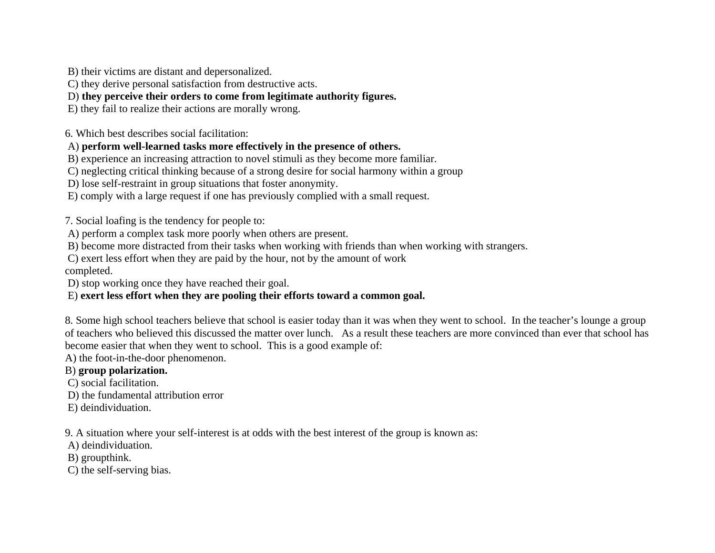B) their victims are distant and depersonalized.

C) they derive personal satisfaction from destructive acts.

D) **they perceive their orders to come from legitimate authority figures.** 

E) they fail to realize their actions are morally wrong.

6. Which best describes social facilitation:

A) **perform well-learned tasks more effectively in the presence of others.**

B) experience an increasing attraction to novel stimuli as they become more familiar.

C) neglecting critical thinking because of a strong desire for social harmony within a group

D) lose self-restraint in group situations that foster anonymity.

E) comply with a large request if one has previously complied with a small request.

7. Social loafing is the tendency for people to:

A) perform a complex task more poorly when others are present.

B) become more distracted from their tasks when working with friends than when working with strangers.

 C) exert less effort when they are paid by the hour, not by the amount of work completed.

D) stop working once they have reached their goal.

### E) **exert less effort when they are pooling their efforts toward a common goal.**

8. Some high school teachers believe that school is easier today than it was when they went to school. In the teacher's lounge a group of teachers who believed this discussed the matter over lunch. As a result these teachers are more convinced than ever that school has become easier that when they went to school. This is a good example of:

A) the foot-in-the-door phenomenon.

# B) **group polarization.**

C) social facilitation.

D) the fundamental attribution error

E) deindividuation.

9. A situation where your self-interest is at odds with the best interest of the group is known as:

A) deindividuation.

B) groupthink.

C) the self-serving bias.